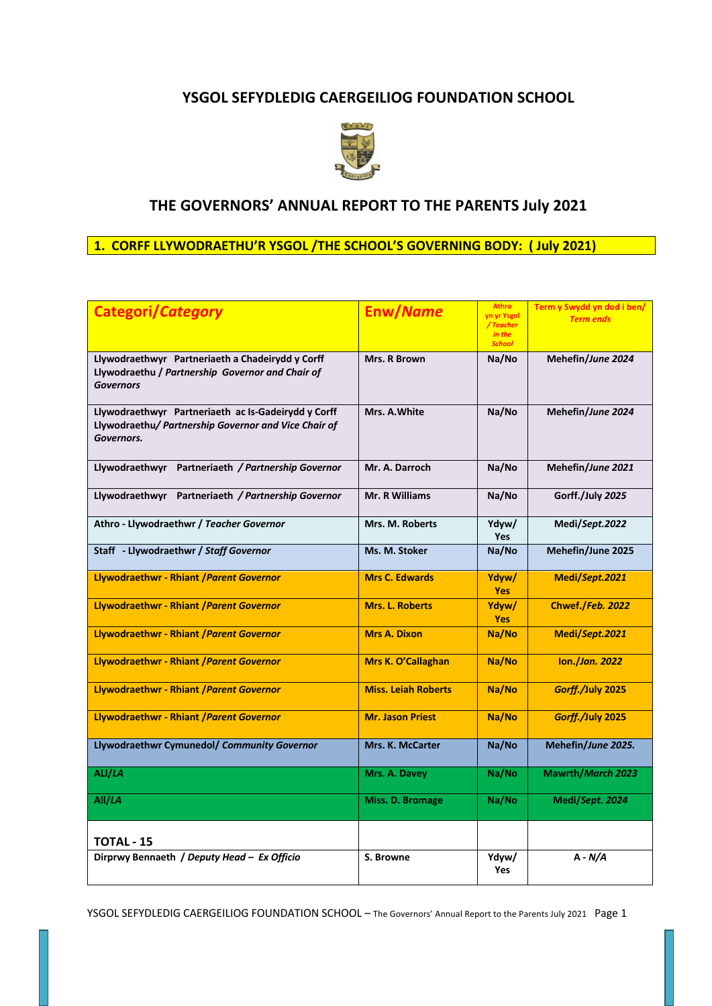# **YSGOL SEFYDLEDIG CAERGEILIOG FOUNDATION SCHOOL**



# **THE GOVERNORS' ANNUAL REPORT TO THE PARENTS July 2021**

# **1. CORFF LLYWODRAETHU'R YSGOL /THE SCHOOL'S GOVERNING BODY: ( July 2021)**

| <b>Categori/Category</b>                                                                                                  | Enw/Name                   | <b>Athro</b><br>yn yr Ysgol<br>/Teacher<br>in the<br><b>School</b> | Term y Swydd yn dod i ben/<br><b>Term ends</b> |
|---------------------------------------------------------------------------------------------------------------------------|----------------------------|--------------------------------------------------------------------|------------------------------------------------|
| Llywodraethwyr Partneriaeth a Chadeirydd y Corff<br>Llywodraethu / Partnership Governor and Chair of<br><b>Governors</b>  | Mrs. R Brown               | Na/No                                                              | Mehefin/June 2024                              |
| Llywodraethwyr Partneriaeth ac Is-Gadeirydd y Corff<br>Llywodraethu/ Partnership Governor and Vice Chair of<br>Governors. | Mrs. A. White              | Na/No                                                              | Mehefin/June 2024                              |
| Llywodraethwyr Partneriaeth / Partnership Governor                                                                        | Mr. A. Darroch             | Na/No                                                              | Mehefin/June 2021                              |
| Llywodraethwyr Partneriaeth / Partnership Governor                                                                        | <b>Mr. R Williams</b>      | Na/No                                                              | Gorff./July 2025                               |
| Athro - Llywodraethwr / Teacher Governor                                                                                  | Mrs. M. Roberts            | Ydyw/<br><b>Yes</b>                                                | Medi/Sept.2022                                 |
| Staff - Llywodraethwr / Staff Governor                                                                                    | Ms. M. Stoker              | Na/No                                                              | Mehefin/June 2025                              |
| Llywodraethwr - Rhiant / Parent Governor                                                                                  | <b>Mrs C. Edwards</b>      | Ydyw/<br><b>Yes</b>                                                | Medi/Sept.2021                                 |
| Llywodraethwr - Rhiant / Parent Governor                                                                                  | Mrs. L. Roberts            | Ydyw/<br><b>Yes</b>                                                | Chwef./Feb. 2022                               |
| Llywodraethwr - Rhiant / Parent Governor                                                                                  | <b>Mrs A. Dixon</b>        | Na/No                                                              | Medi/Sept.2021                                 |
| Llywodraethwr - Rhiant / Parent Governor                                                                                  | Mrs K. O'Callaghan         | Na/No                                                              | lon./Jan. 2022                                 |
| Llywodraethwr - Rhiant / Parent Governor                                                                                  | <b>Miss. Leiah Roberts</b> | Na/No                                                              | Gorff./July 2025                               |
| Llywodraethwr - Rhiant / Parent Governor                                                                                  | <b>Mr. Jason Priest</b>    | Na/No                                                              | Gorff./July 2025                               |
| Llywodraethwr Cymunedol/ Community Governor                                                                               | Mrs. K. McCarter           | Na/No                                                              | Mehefin/June 2025.                             |
| ALI/LA                                                                                                                    | Mrs. A. Davey              | Na/No                                                              | Mawrth/March 2023                              |
| All/LA                                                                                                                    | Miss. D. Bromage           | Na/No                                                              | Medi/Sept. 2024                                |
| TOTAL - 15                                                                                                                |                            |                                                                    |                                                |
| Dirprwy Bennaeth / Deputy Head - Ex Officio                                                                               | S. Browne                  | Ydyw/<br><b>Yes</b>                                                | $A - N/A$                                      |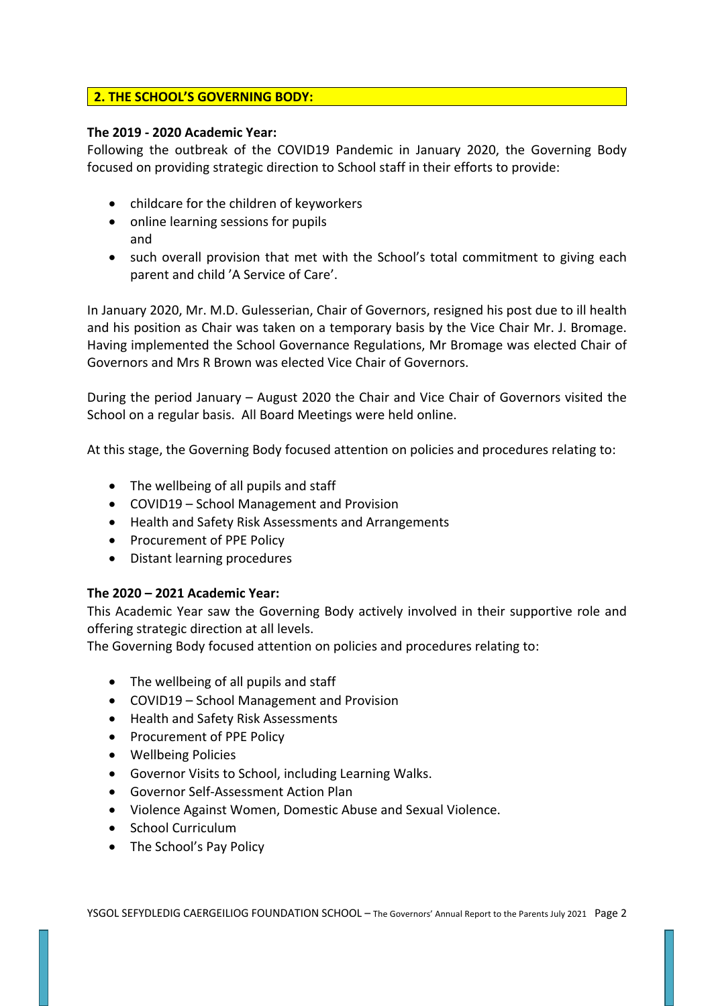# **2. THE SCHOOL'S GOVERNING BODY:**

### **The 2019 - 2020 Academic Year:**

Following the outbreak of the COVID19 Pandemic in January 2020, the Governing Body focused on providing strategic direction to School staff in their efforts to provide:

- childcare for the children of keyworkers
- online learning sessions for pupils and
- such overall provision that met with the School's total commitment to giving each parent and child 'A Service of Care'.

In January 2020, Mr. M.D. Gulesserian, Chair of Governors, resigned his post due to ill health and his position as Chair was taken on a temporary basis by the Vice Chair Mr. J. Bromage. Having implemented the School Governance Regulations, Mr Bromage was elected Chair of Governors and Mrs R Brown was elected Vice Chair of Governors.

During the period January – August 2020 the Chair and Vice Chair of Governors visited the School on a regular basis. All Board Meetings were held online.

At this stage, the Governing Body focused attention on policies and procedures relating to:

- The wellbeing of all pupils and staff
- COVID19 School Management and Provision
- Health and Safety Risk Assessments and Arrangements
- Procurement of PPE Policy
- Distant learning procedures

# **The 2020 – 2021 Academic Year:**

This Academic Year saw the Governing Body actively involved in their supportive role and offering strategic direction at all levels.

The Governing Body focused attention on policies and procedures relating to:

- The wellbeing of all pupils and staff
- COVID19 School Management and Provision
- Health and Safety Risk Assessments
- Procurement of PPE Policy
- Wellbeing Policies
- Governor Visits to School, including Learning Walks.
- Governor Self-Assessment Action Plan
- Violence Against Women, Domestic Abuse and Sexual Violence.
- School Curriculum
- The School's Pay Policy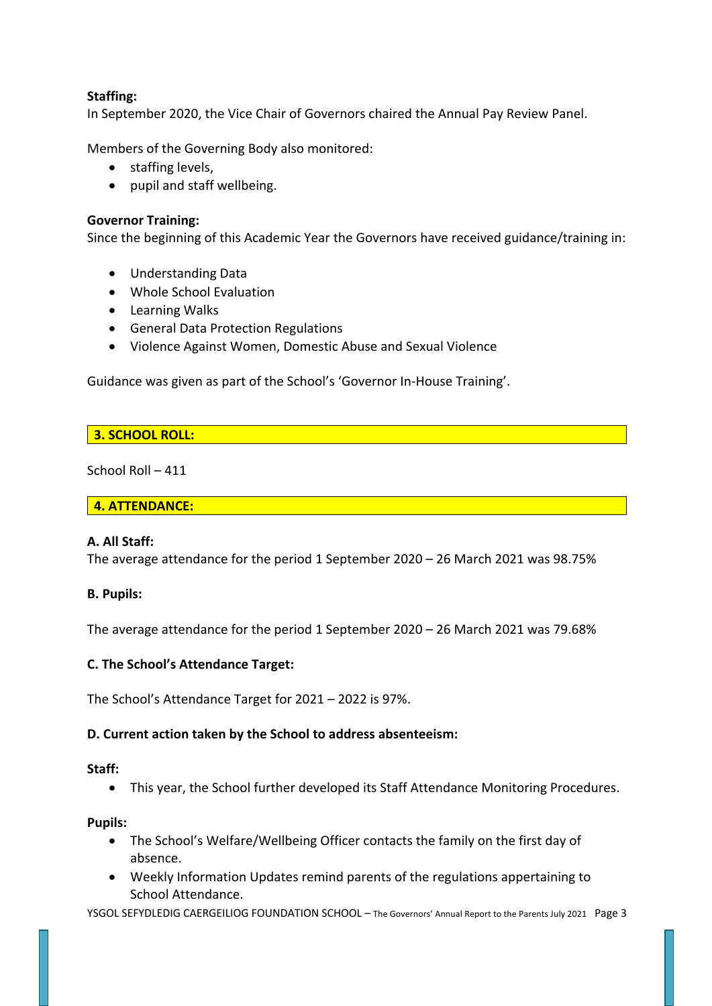# **Staffing:**

In September 2020, the Vice Chair of Governors chaired the Annual Pay Review Panel.

Members of the Governing Body also monitored:

- staffing levels,
- pupil and staff wellbeing.

### **Governor Training:**

Since the beginning of this Academic Year the Governors have received guidance/training in:

- Understanding Data
- Whole School Evaluation
- Learning Walks
- General Data Protection Regulations
- Violence Against Women, Domestic Abuse and Sexual Violence

Guidance was given as part of the School's 'Governor In-House Training'.

### **3. SCHOOL ROLL:**

School Roll – 411

#### **4. ATTENDANCE:**

#### **A. All Staff:**

The average attendance for the period 1 September 2020 – 26 March 2021 was 98.75%

### **B. Pupils:**

The average attendance for the period 1 September 2020 – 26 March 2021 was 79.68%

### **C. The School's Attendance Target:**

The School's Attendance Target for 2021 – 2022 is 97%.

### **D. Current action taken by the School to address absenteeism:**

#### **Staff:**

• This year, the School further developed its Staff Attendance Monitoring Procedures.

#### **Pupils:**

- The School's Welfare/Wellbeing Officer contacts the family on the first day of absence.
- Weekly Information Updates remind parents of the regulations appertaining to School Attendance.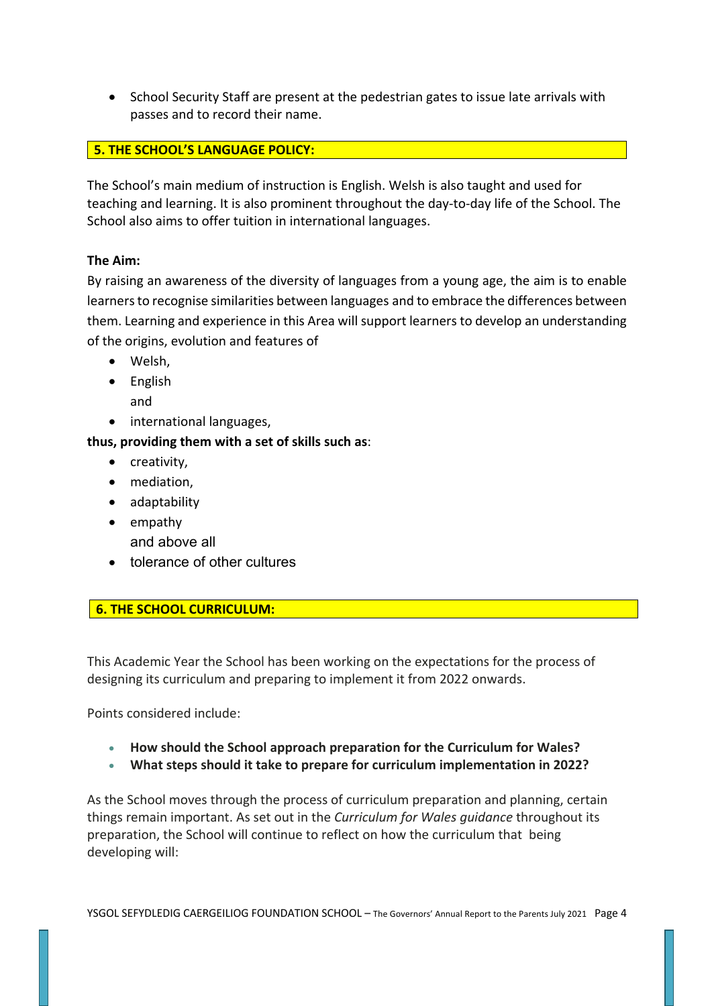• School Security Staff are present at the pedestrian gates to issue late arrivals with passes and to record their name.

# **5. THE SCHOOL'S LANGUAGE POLICY:**

The School's main medium of instruction is English. Welsh is also taught and used for teaching and learning. It is also prominent throughout the day-to-day life of the School. The School also aims to offer tuition in international languages.

# **The Aim:**

By raising an awareness of the diversity of languages from a young age, the aim is to enable learners to recognise similarities between languages and to embrace the differences between them. Learning and experience in this Area will support learners to develop an understanding of the origins, evolution and features of

- Welsh,
- English and
- international languages,

# **thus, providing them with a set of skills such as**:

- creativity,
- mediation,
- adaptability
- empathy and above all
- tolerance of other cultures

# **6. THE SCHOOL CURRICULUM:**

This Academic Year the School has been working on the expectations for the process of designing its curriculum and preparing to implement it from 2022 onwards.

Points considered include:

- **How should the School approach preparation for the Curriculum for Wales?**
- **What steps should it take to prepare for curriculum implementation in 2022?**

As the School moves through the process of curriculum preparation and planning, certain things remain important. As set out in the *Curriculum for Wales guidance* throughout its preparation, the School will continue to reflect on how the curriculum that being developing will: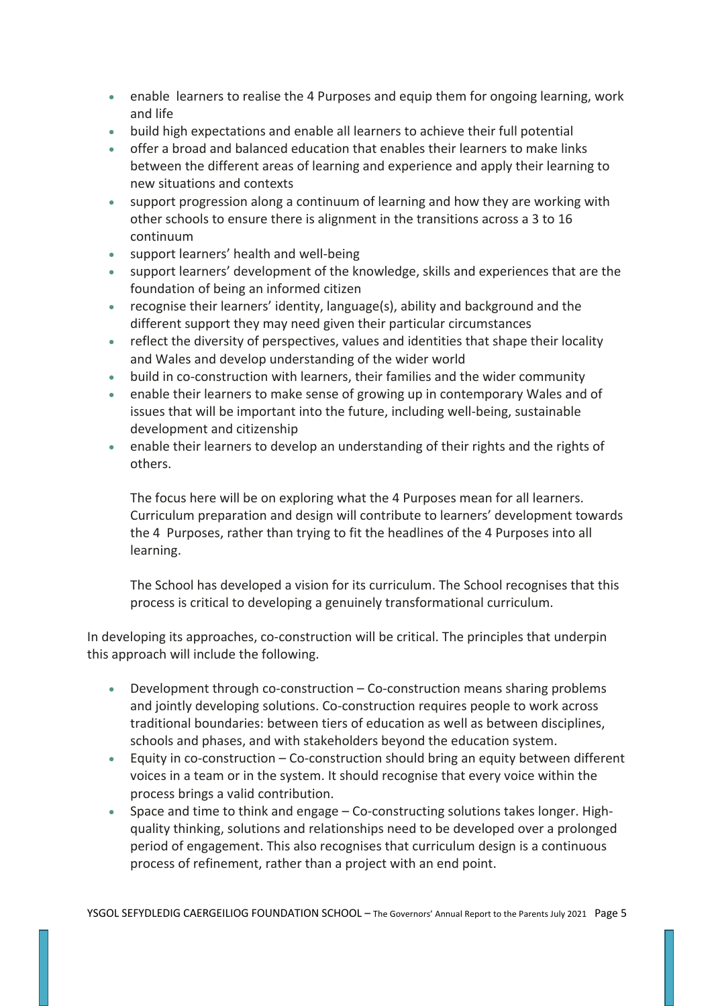- enable learners to realise the 4 Purposes and equip them for ongoing learning, work and life
- build high expectations and enable all learners to achieve their full potential
- offer a broad and balanced education that enables their learners to make links between the different areas of learning and experience and apply their learning to new situations and contexts
- support progression along a continuum of learning and how they are working with other schools to ensure there is alignment in the transitions across a 3 to 16 continuum
- support learners' health and well-being
- support learners' development of the knowledge, skills and experiences that are the foundation of being an informed citizen
- recognise their learners' identity, language(s), ability and background and the different support they may need given their particular circumstances
- reflect the diversity of perspectives, values and identities that shape their locality and Wales and develop understanding of the wider world
- build in co-construction with learners, their families and the wider community
- enable their learners to make sense of growing up in contemporary Wales and of issues that will be important into the future, including well-being, sustainable development and citizenship
- enable their learners to develop an understanding of their rights and the rights of others.

The focus here will be on exploring what the 4 Purposes mean for all learners. Curriculum preparation and design will contribute to learners' development towards the 4 Purposes, rather than trying to fit the headlines of the 4 Purposes into all learning.

The School has developed a vision for its curriculum. The School recognises that this process is critical to developing a genuinely transformational curriculum.

In developing its approaches, co-construction will be critical. The principles that underpin this approach will include the following.

- Development through co-construction Co-construction means sharing problems and jointly developing solutions. Co-construction requires people to work across traditional boundaries: between tiers of education as well as between disciplines, schools and phases, and with stakeholders beyond the education system.
- Equity in co-construction Co-construction should bring an equity between different voices in a team or in the system. It should recognise that every voice within the process brings a valid contribution.
- Space and time to think and engage Co-constructing solutions takes longer. Highquality thinking, solutions and relationships need to be developed over a prolonged period of engagement. This also recognises that curriculum design is a continuous process of refinement, rather than a project with an end point.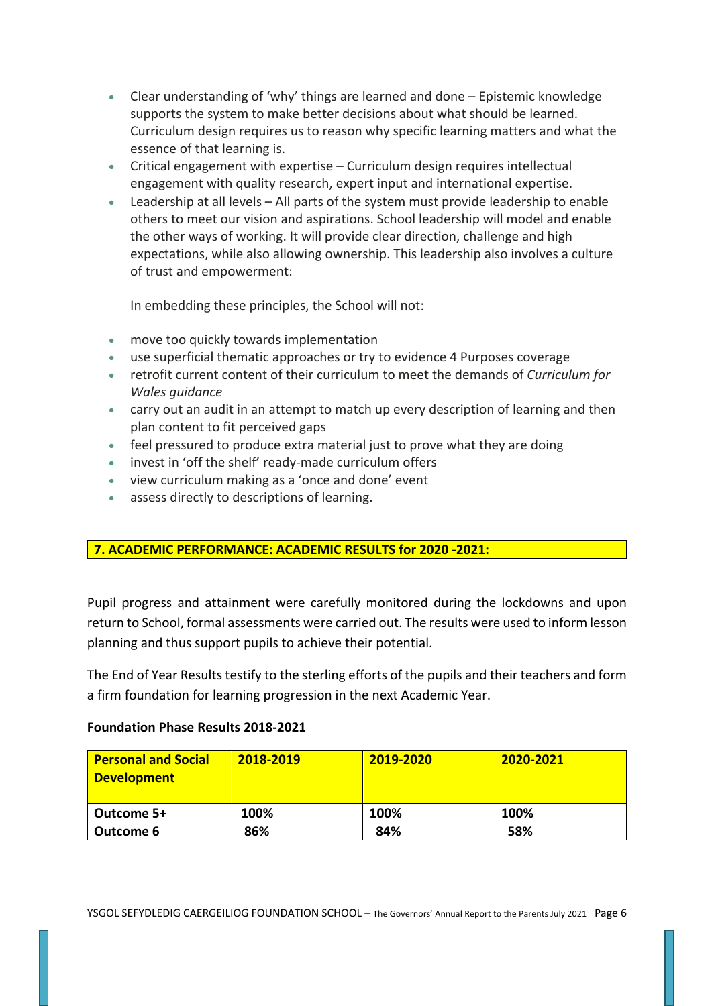- Clear understanding of 'why' things are learned and done Epistemic knowledge supports the system to make better decisions about what should be learned. Curriculum design requires us to reason why specific learning matters and what the essence of that learning is.
- Critical engagement with expertise Curriculum design requires intellectual engagement with quality research, expert input and international expertise.
- Leadership at all levels All parts of the system must provide leadership to enable others to meet our vision and aspirations. School leadership will model and enable the other ways of working. It will provide clear direction, challenge and high expectations, while also allowing ownership. This leadership also involves a culture of trust and empowerment:

In embedding these principles, the School will not:

- move too quickly towards implementation
- use superficial thematic approaches or try to evidence 4 Purposes coverage
- retrofit current content of their curriculum to meet the demands of *Curriculum for Wales guidance*
- carry out an audit in an attempt to match up every description of learning and then plan content to fit perceived gaps
- feel pressured to produce extra material just to prove what they are doing
- invest in 'off the shelf' ready-made curriculum offers
- view curriculum making as a 'once and done' event
- assess directly to descriptions of learning.

# **7. ACADEMIC PERFORMANCE: ACADEMIC RESULTS for 2020 -2021:**

Pupil progress and attainment were carefully monitored during the lockdowns and upon return to School, formal assessments were carried out. The results were used to inform lesson planning and thus support pupils to achieve their potential.

The End of Year Results testify to the sterling efforts of the pupils and their teachers and form a firm foundation for learning progression in the next Academic Year.

### **Foundation Phase Results 2018-2021**

| <b>Personal and Social</b><br><b>Development</b> | 2018-2019 | 2019-2020 | 2020-2021 |
|--------------------------------------------------|-----------|-----------|-----------|
| Outcome 5+                                       | 100%      | 100%      | 100%      |
| Outcome 6                                        | 86%       | 84%       | 58%       |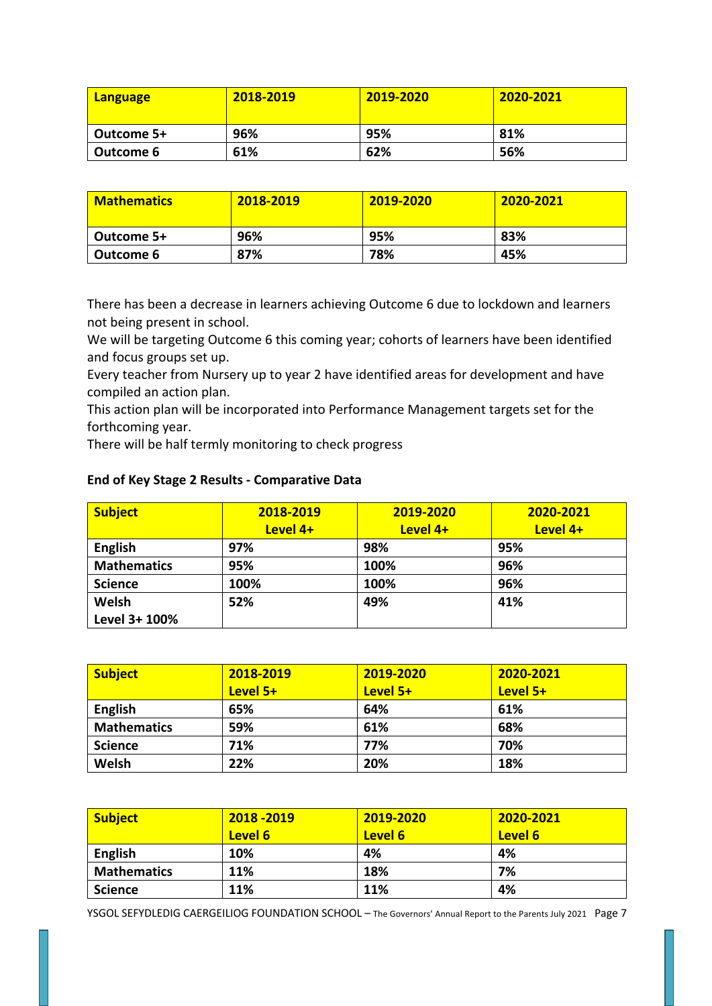| <b>Language</b> | 2018-2019 | 2019-2020 | 2020-2021 |
|-----------------|-----------|-----------|-----------|
| Outcome 5+      | 96%       | 95%       | 81%       |
| Outcome 6       | 61%       | 62%       | 56%       |

| <b>Mathematics</b> | 2018-2019 | 2019-2020 | 2020-2021 |
|--------------------|-----------|-----------|-----------|
| Outcome 5+         | 96%       | 95%       | 83%       |
| Outcome 6          | 87%       | 78%       | 45%       |

There has been a decrease in learners achieving Outcome 6 due to lockdown and learners not being present in school.

We will be targeting Outcome 6 this coming year; cohorts of learners have been identified and focus groups set up.

Every teacher from Nursery up to year 2 have identified areas for development and have compiled an action plan.

This action plan will be incorporated into Performance Management targets set for the forthcoming year.

There will be half termly monitoring to check progress

| <b>Subject</b>     | 2018-2019 | 2019-2020 | 2020-2021 |
|--------------------|-----------|-----------|-----------|
|                    | Level 4+  | Level 4+  | Level 4+  |
| <b>English</b>     | 97%       | 98%       | 95%       |
| <b>Mathematics</b> | 95%       | 100%      | 96%       |
| <b>Science</b>     | 100%      | 100%      | 96%       |
| Welsh              | 52%       | 49%       | 41%       |
| Level 3+ 100%      |           |           |           |

### **End of Key Stage 2 Results - Comparative Data**

| <b>Subject</b>     | 2018-2019 | 2019-2020 | 2020-2021 |
|--------------------|-----------|-----------|-----------|
|                    | Level 5+  | Level 5+  | Level 5+  |
| <b>English</b>     | 65%       | 64%       | 61%       |
| <b>Mathematics</b> | 59%       | 61%       | 68%       |
| <b>Science</b>     | 71%       | 77%       | 70%       |
| Welsh              | 22%       | 20%       | 18%       |

| <b>Subject</b>     | 2018 - 2019 | 2019-2020 | $2020 - 2021$ |
|--------------------|-------------|-----------|---------------|
|                    | Level 6     | Level 6   | Level 6       |
| <b>English</b>     | 10%         | 4%        | 4%            |
| <b>Mathematics</b> | 11%         | 18%       | 7%            |
| <b>Science</b>     | 11%         | 11%       | 4%            |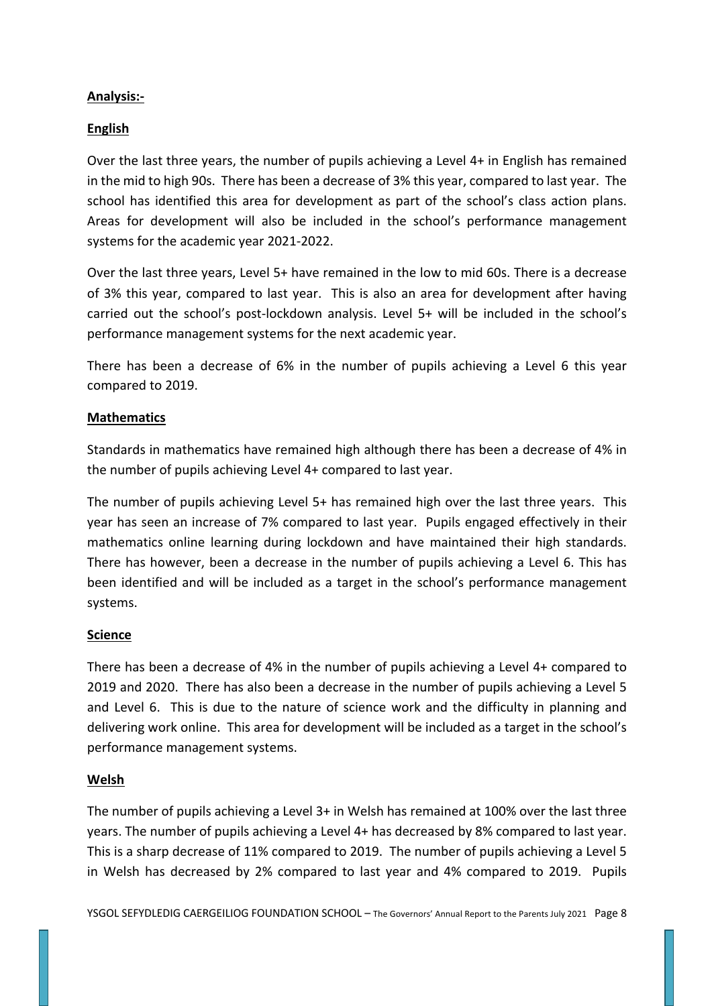# **Analysis:-**

## **English**

Over the last three years, the number of pupils achieving a Level 4+ in English has remained in the mid to high 90s. There has been a decrease of 3% this year, compared to last year. The school has identified this area for development as part of the school's class action plans. Areas for development will also be included in the school's performance management systems for the academic year 2021-2022.

Over the last three years, Level 5+ have remained in the low to mid 60s. There is a decrease of 3% this year, compared to last year. This is also an area for development after having carried out the school's post-lockdown analysis. Level 5+ will be included in the school's performance management systems for the next academic year.

There has been a decrease of 6% in the number of pupils achieving a Level 6 this year compared to 2019.

## **Mathematics**

Standards in mathematics have remained high although there has been a decrease of 4% in the number of pupils achieving Level 4+ compared to last year.

The number of pupils achieving Level 5+ has remained high over the last three years. This year has seen an increase of 7% compared to last year. Pupils engaged effectively in their mathematics online learning during lockdown and have maintained their high standards. There has however, been a decrease in the number of pupils achieving a Level 6. This has been identified and will be included as a target in the school's performance management systems.

### **Science**

There has been a decrease of 4% in the number of pupils achieving a Level 4+ compared to 2019 and 2020. There has also been a decrease in the number of pupils achieving a Level 5 and Level 6. This is due to the nature of science work and the difficulty in planning and delivering work online. This area for development will be included as a target in the school's performance management systems.

### **Welsh**

The number of pupils achieving a Level 3+ in Welsh has remained at 100% over the last three years. The number of pupils achieving a Level 4+ has decreased by 8% compared to last year. This is a sharp decrease of 11% compared to 2019. The number of pupils achieving a Level 5 in Welsh has decreased by 2% compared to last year and 4% compared to 2019. Pupils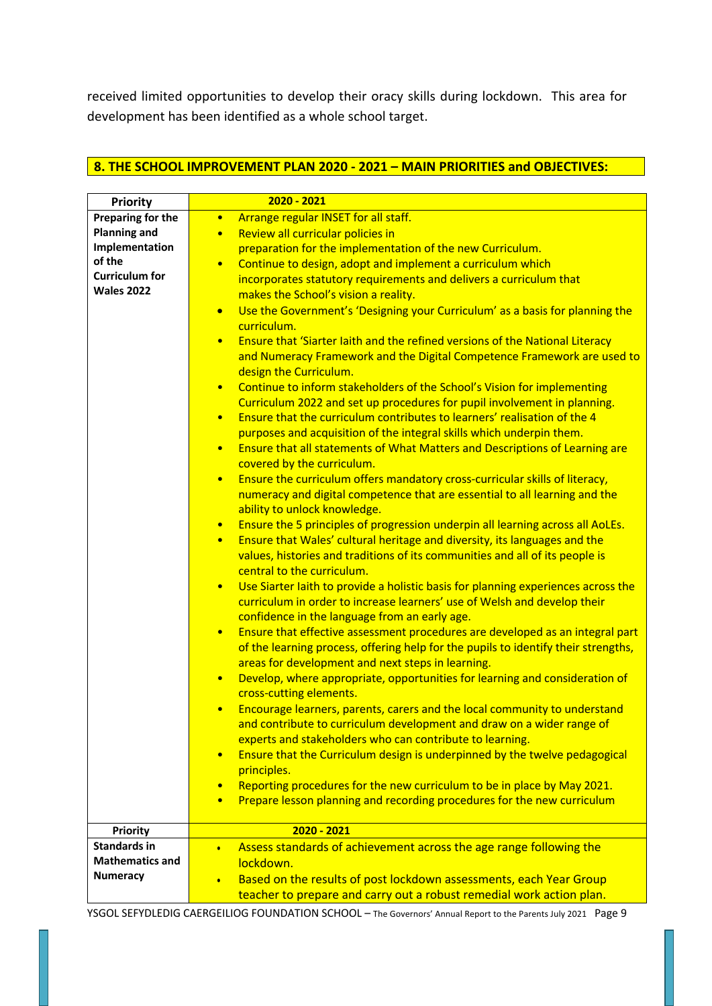received limited opportunities to develop their oracy skills during lockdown. This area for development has been identified as a whole school target.

# **8. THE SCHOOL IMPROVEMENT PLAN 2020 - 2021 – MAIN PRIORITIES and OBJECTIVES:**

| <b>Priority</b>        | $2020 - 2021$                                                                                                          |
|------------------------|------------------------------------------------------------------------------------------------------------------------|
| Preparing for the      | Arrange regular INSET for all staff.<br>$\bullet$                                                                      |
| <b>Planning and</b>    | Review all curricular policies in<br>$\bullet$                                                                         |
| Implementation         | preparation for the implementation of the new Curriculum.                                                              |
| of the                 | Continue to design, adopt and implement a curriculum which<br>$\bullet$                                                |
| <b>Curriculum for</b>  | incorporates statutory requirements and delivers a curriculum that                                                     |
| <b>Wales 2022</b>      |                                                                                                                        |
|                        | makes the School's vision a reality.                                                                                   |
|                        | Use the Government's 'Designing your Curriculum' as a basis for planning the<br>$\bullet$<br>curriculum.               |
|                        | Ensure that 'Siarter laith and the refined versions of the National Literacy<br>$\bullet$                              |
|                        | and Numeracy Framework and the Digital Competence Framework are used to<br>design the Curriculum.                      |
|                        | Continue to inform stakeholders of the School's Vision for implementing<br>$\bullet$                                   |
|                        |                                                                                                                        |
|                        | Curriculum 2022 and set up procedures for pupil involvement in planning.                                               |
|                        | Ensure that the curriculum contributes to learners' realisation of the 4<br>$\bullet$                                  |
|                        | purposes and acquisition of the integral skills which underpin them.                                                   |
|                        | Ensure that all statements of What Matters and Descriptions of Learning are<br>$\bullet$<br>covered by the curriculum. |
|                        |                                                                                                                        |
|                        | Ensure the curriculum offers mandatory cross-curricular skills of literacy,<br>$\bullet$                               |
|                        | numeracy and digital competence that are essential to all learning and the                                             |
|                        | ability to unlock knowledge.                                                                                           |
|                        | Ensure the 5 principles of progression underpin all learning across all AoLEs.<br>$\bullet$                            |
|                        | Ensure that Wales' cultural heritage and diversity, its languages and the<br>$\bullet$                                 |
|                        | values, histories and traditions of its communities and all of its people is                                           |
|                        | central to the curriculum.                                                                                             |
|                        | Use Siarter laith to provide a holistic basis for planning experiences across the<br>$\bullet$                         |
|                        | curriculum in order to increase learners' use of Welsh and develop their                                               |
|                        | confidence in the language from an early age.                                                                          |
|                        | Ensure that effective assessment procedures are developed as an integral part<br>$\bullet$                             |
|                        | of the learning process, offering help for the pupils to identify their strengths,                                     |
|                        | areas for development and next steps in learning.                                                                      |
|                        | Develop, where appropriate, opportunities for learning and consideration of<br>$\bullet$                               |
|                        | cross-cutting elements.                                                                                                |
|                        | Encourage learners, parents, carers and the local community to understand<br>$\bullet$                                 |
|                        | and contribute to curriculum development and draw on a wider range of                                                  |
|                        | experts and stakeholders who can contribute to learning.                                                               |
|                        | Ensure that the Curriculum design is underpinned by the twelve pedagogical<br>$\bullet$                                |
|                        | principles.                                                                                                            |
|                        | Reporting procedures for the new curriculum to be in place by May 2021.<br>$\bullet$                                   |
|                        | Prepare lesson planning and recording procedures for the new curriculum<br>$\bullet$                                   |
|                        |                                                                                                                        |
| <b>Priority</b>        | 2020 - 2021                                                                                                            |
| <b>Standards in</b>    | Assess standards of achievement across the age range following the<br>$\bullet$                                        |
| <b>Mathematics and</b> | lockdown.                                                                                                              |
| Numeracy               | Based on the results of post lockdown assessments, each Year Group<br>$\bullet$                                        |
|                        | teacher to prepare and carry out a robust remedial work action plan.                                                   |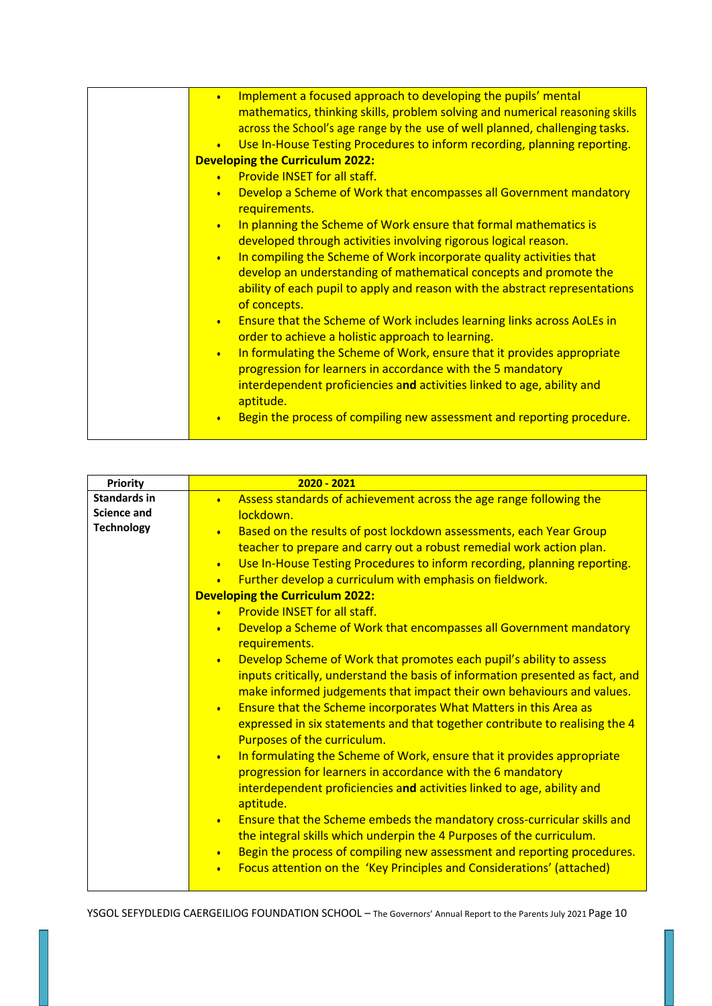| Implement a focused approach to developing the pupils' mental<br>$\bullet$<br>mathematics, thinking skills, problem solving and numerical reasoning skills       |
|------------------------------------------------------------------------------------------------------------------------------------------------------------------|
| across the School's age range by the use of well planned, challenging tasks.                                                                                     |
| Use In-House Testing Procedures to inform recording, planning reporting.<br>$\bullet$                                                                            |
| <b>Developing the Curriculum 2022:</b>                                                                                                                           |
| • Provide INSET for all staff.                                                                                                                                   |
| Develop a Scheme of Work that encompasses all Government mandatory<br>$\bullet$<br>requirements.                                                                 |
| In planning the Scheme of Work ensure that formal mathematics is<br>$\bullet$<br>developed through activities involving rigorous logical reason.                 |
| In compiling the Scheme of Work incorporate quality activities that<br>$\bullet$                                                                                 |
| develop an understanding of mathematical concepts and promote the<br>ability of each pupil to apply and reason with the abstract representations<br>of concepts. |
| Ensure that the Scheme of Work includes learning links across AoLEs in<br>$\bullet$<br>order to achieve a holistic approach to learning.                         |
| In formulating the Scheme of Work, ensure that it provides appropriate<br>$\bullet$<br>progression for learners in accordance with the 5 mandatory               |
| interdependent proficiencies and activities linked to age, ability and<br>aptitude.                                                                              |
| Begin the process of compiling new assessment and reporting procedure.<br>$\bullet$                                                                              |

| Priority            | $2020 - 2021$                                                                         |
|---------------------|---------------------------------------------------------------------------------------|
| <b>Standards in</b> | Assess standards of achievement across the age range following the<br>$\bullet$       |
| <b>Science and</b>  | lockdown.                                                                             |
| <b>Technology</b>   | Based on the results of post lockdown assessments, each Year Group<br>$\bullet$       |
|                     | teacher to prepare and carry out a robust remedial work action plan.                  |
|                     | Use In-House Testing Procedures to inform recording, planning reporting.<br>$\bullet$ |
|                     | Further develop a curriculum with emphasis on fieldwork.<br>$\bullet$                 |
|                     | <b>Developing the Curriculum 2022:</b>                                                |
|                     | • Provide INSET for all staff.                                                        |
|                     | Develop a Scheme of Work that encompasses all Government mandatory<br>$\bullet$       |
|                     | requirements.                                                                         |
|                     | Develop Scheme of Work that promotes each pupil's ability to assess<br>$\bullet$      |
|                     | inputs critically, understand the basis of information presented as fact, and         |
|                     | make informed judgements that impact their own behaviours and values.                 |
|                     | Ensure that the Scheme incorporates What Matters in this Area as<br>$\bullet$         |
|                     | expressed in six statements and that together contribute to realising the 4           |
|                     | Purposes of the curriculum.                                                           |
|                     | In formulating the Scheme of Work, ensure that it provides appropriate<br>$\bullet$   |
|                     | progression for learners in accordance with the 6 mandatory                           |
|                     | interdependent proficiencies and activities linked to age, ability and                |
|                     | aptitude.                                                                             |
|                     | Ensure that the Scheme embeds the mandatory cross-curricular skills and<br>$\bullet$  |
|                     | the integral skills which underpin the 4 Purposes of the curriculum.                  |
|                     | Begin the process of compiling new assessment and reporting procedures.<br>$\bullet$  |
|                     | Focus attention on the 'Key Principles and Considerations' (attached)<br>$\bullet$    |
|                     |                                                                                       |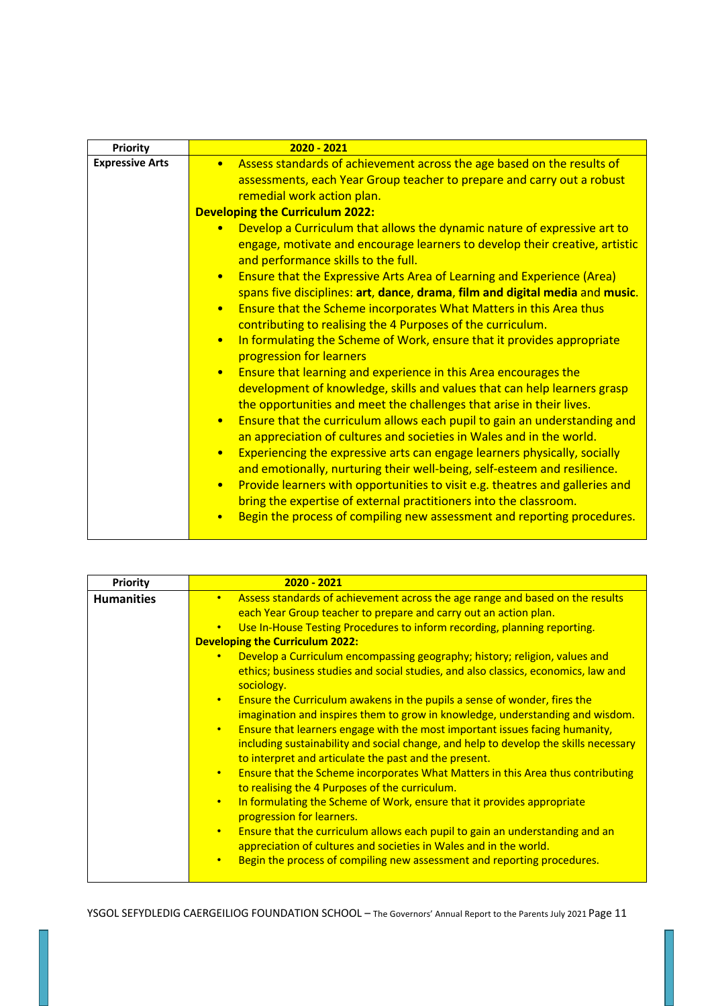| <b>Priority</b>        | $2020 - 2021$                                                                                                                                                                                                                                                                                                                                                                                                                                                                                                                                                                                                                                                                                                                                                                                                                                                                                                                                                                                           |
|------------------------|---------------------------------------------------------------------------------------------------------------------------------------------------------------------------------------------------------------------------------------------------------------------------------------------------------------------------------------------------------------------------------------------------------------------------------------------------------------------------------------------------------------------------------------------------------------------------------------------------------------------------------------------------------------------------------------------------------------------------------------------------------------------------------------------------------------------------------------------------------------------------------------------------------------------------------------------------------------------------------------------------------|
| <b>Expressive Arts</b> | Assess standards of achievement across the age based on the results of<br>$\bullet$<br>assessments, each Year Group teacher to prepare and carry out a robust<br>remedial work action plan.<br><b>Developing the Curriculum 2022:</b><br>Develop a Curriculum that allows the dynamic nature of expressive art to<br>engage, motivate and encourage learners to develop their creative, artistic<br>and performance skills to the full.<br><b>Ensure that the Expressive Arts Area of Learning and Experience (Area)</b><br>$\bullet$<br>spans five disciplines: art, dance, drama, film and digital media and music.<br>Ensure that the Scheme incorporates What Matters in this Area thus<br>$\bullet$                                                                                                                                                                                                                                                                                                |
|                        | contributing to realising the 4 Purposes of the curriculum.<br>In formulating the Scheme of Work, ensure that it provides appropriate<br>$\bullet$<br>progression for learners<br>Ensure that learning and experience in this Area encourages the<br>$\bullet$<br>development of knowledge, skills and values that can help learners grasp<br>the opportunities and meet the challenges that arise in their lives.<br>Ensure that the curriculum allows each pupil to gain an understanding and<br>$\bullet$<br>an appreciation of cultures and societies in Wales and in the world.<br>Experiencing the expressive arts can engage learners physically, socially<br>and emotionally, nurturing their well-being, self-esteem and resilience.<br>Provide learners with opportunities to visit e.g. theatres and galleries and<br>$\bullet$<br>bring the expertise of external practitioners into the classroom.<br>Begin the process of compiling new assessment and reporting procedures.<br>$\bullet$ |

| Assess standards of achievement across the age range and based on the results<br><b>Humanities</b><br>$\bullet$ .<br>each Year Group teacher to prepare and carry out an action plan.<br>Use In-House Testing Procedures to inform recording, planning reporting.<br>$\bullet$<br><b>Developing the Curriculum 2022:</b><br>Develop a Curriculum encompassing geography; history; religion, values and<br>$\bullet$<br>ethics; business studies and social studies, and also classics, economics, law and<br>sociology.                                                                                                                                      | <b>Priority</b> | $2020 - 2021$                                                                                                                                                                                                                                                                       |
|--------------------------------------------------------------------------------------------------------------------------------------------------------------------------------------------------------------------------------------------------------------------------------------------------------------------------------------------------------------------------------------------------------------------------------------------------------------------------------------------------------------------------------------------------------------------------------------------------------------------------------------------------------------|-----------------|-------------------------------------------------------------------------------------------------------------------------------------------------------------------------------------------------------------------------------------------------------------------------------------|
| Ensure the Curriculum awakens in the pupils a sense of wonder, fires the<br>$\bullet$<br>imagination and inspires them to grow in knowledge, understanding and wisdom.<br>Ensure that learners engage with the most important issues facing humanity,<br>$\bullet$<br>including sustainability and social change, and help to develop the skills necessary<br>to interpret and articulate the past and the present.<br>Ensure that the Scheme incorporates What Matters in this Area thus contributing<br>$\bullet$<br>to realising the 4 Purposes of the curriculum.<br>In formulating the Scheme of Work, ensure that it provides appropriate<br>$\bullet$ |                 | progression for learners.<br>Ensure that the curriculum allows each pupil to gain an understanding and an<br>$\bullet$<br>appreciation of cultures and societies in Wales and in the world.<br>Begin the process of compiling new assessment and reporting procedures.<br>$\bullet$ |
|                                                                                                                                                                                                                                                                                                                                                                                                                                                                                                                                                                                                                                                              |                 |                                                                                                                                                                                                                                                                                     |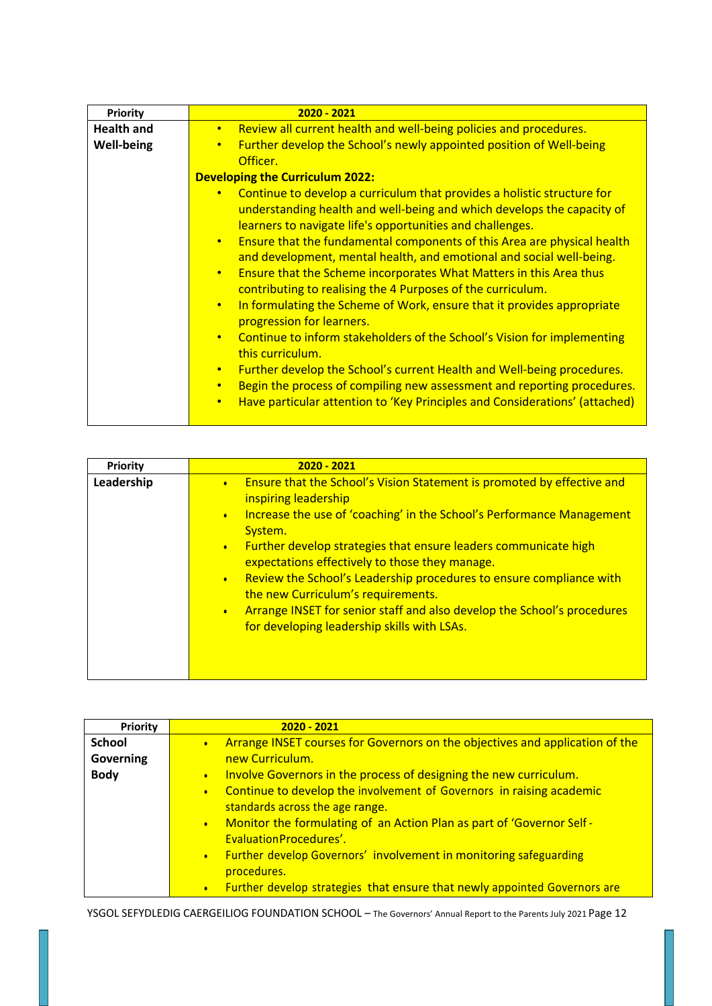| Priority          | $2020 - 2021$                                                                                                                                                                                                                                                                                                                                                                                                                                                                                                                                                                                                                                                                                                                                                                                                                                                                                                                                                                                                                                            |  |  |  |  |  |
|-------------------|----------------------------------------------------------------------------------------------------------------------------------------------------------------------------------------------------------------------------------------------------------------------------------------------------------------------------------------------------------------------------------------------------------------------------------------------------------------------------------------------------------------------------------------------------------------------------------------------------------------------------------------------------------------------------------------------------------------------------------------------------------------------------------------------------------------------------------------------------------------------------------------------------------------------------------------------------------------------------------------------------------------------------------------------------------|--|--|--|--|--|
| <b>Health and</b> | Review all current health and well-being policies and procedures.<br>$\bullet$                                                                                                                                                                                                                                                                                                                                                                                                                                                                                                                                                                                                                                                                                                                                                                                                                                                                                                                                                                           |  |  |  |  |  |
| <b>Well-being</b> | Further develop the School's newly appointed position of Well-being<br>$\bullet$<br>Officer.                                                                                                                                                                                                                                                                                                                                                                                                                                                                                                                                                                                                                                                                                                                                                                                                                                                                                                                                                             |  |  |  |  |  |
|                   | <b>Developing the Curriculum 2022:</b>                                                                                                                                                                                                                                                                                                                                                                                                                                                                                                                                                                                                                                                                                                                                                                                                                                                                                                                                                                                                                   |  |  |  |  |  |
|                   | Continue to develop a curriculum that provides a holistic structure for<br>$\bullet$<br>understanding health and well-being and which develops the capacity of<br>learners to navigate life's opportunities and challenges.<br>Ensure that the fundamental components of this Area are physical health<br>$\bullet$<br>and development, mental health, and emotional and social well-being.<br>Ensure that the Scheme incorporates What Matters in this Area thus<br>$\bullet$<br>contributing to realising the 4 Purposes of the curriculum.<br>In formulating the Scheme of Work, ensure that it provides appropriate<br>$\bullet$<br>progression for learners.<br>Continue to inform stakeholders of the School's Vision for implementing<br>$\bullet$<br>this curriculum.<br>Further develop the School's current Health and Well-being procedures.<br>$\bullet$<br>Begin the process of compiling new assessment and reporting procedures.<br>$\bullet$<br>Have particular attention to 'Key Principles and Considerations' (attached)<br>$\bullet$ |  |  |  |  |  |

| Priority   | $2020 - 2021$                                                                                                                                                                                                                                                                                                                                                                                                                                                                                                                                                                                                   |  |  |  |  |
|------------|-----------------------------------------------------------------------------------------------------------------------------------------------------------------------------------------------------------------------------------------------------------------------------------------------------------------------------------------------------------------------------------------------------------------------------------------------------------------------------------------------------------------------------------------------------------------------------------------------------------------|--|--|--|--|
| Leadership | Ensure that the School's Vision Statement is promoted by effective and<br>$\bullet$<br>inspiring leadership<br>Increase the use of 'coaching' in the School's Performance Management<br>$\bullet$<br>System.<br>Further develop strategies that ensure leaders communicate high<br>$\bullet$<br>expectations effectively to those they manage.<br>Review the School's Leadership procedures to ensure compliance with<br>$\bullet$<br>the new Curriculum's requirements.<br>Arrange INSET for senior staff and also develop the School's procedures<br>$\bullet$<br>for developing leadership skills with LSAs. |  |  |  |  |

| Priority      | $2020 - 2021$                                                                                                 |  |  |  |  |  |
|---------------|---------------------------------------------------------------------------------------------------------------|--|--|--|--|--|
| <b>School</b> | Arrange INSET courses for Governors on the objectives and application of the<br>$\bullet$                     |  |  |  |  |  |
| Governing     | new Curriculum.                                                                                               |  |  |  |  |  |
| <b>Body</b>   | Involve Governors in the process of designing the new curriculum.<br>$\bullet$                                |  |  |  |  |  |
|               | Continue to develop the involvement of Governors in raising academic<br>$\bullet$                             |  |  |  |  |  |
|               | standards across the age range.                                                                               |  |  |  |  |  |
|               | Monitor the formulating of an Action Plan as part of 'Governor Self -<br>$\bullet$<br>Evaluation Procedures'. |  |  |  |  |  |
|               |                                                                                                               |  |  |  |  |  |
|               | Further develop Governors' involvement in monitoring safeguarding<br>$\bullet$                                |  |  |  |  |  |
|               | procedures.                                                                                                   |  |  |  |  |  |
|               | Further develop strategies that ensure that newly appointed Governors are<br>$\bullet$                        |  |  |  |  |  |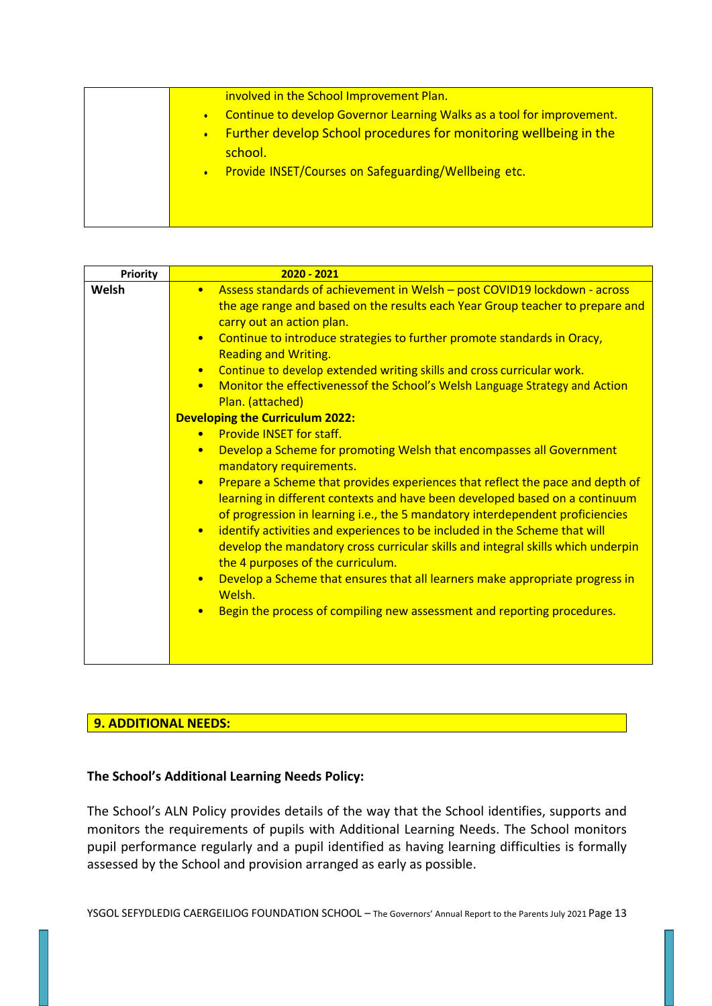|  | involved in the School Improvement Plan.<br>Continue to develop Governor Learning Walks as a tool for improvement.<br>Further develop School procedures for monitoring wellbeing in the<br>school.<br>Provide INSET/Courses on Safeguarding/Wellbeing etc. |
|--|------------------------------------------------------------------------------------------------------------------------------------------------------------------------------------------------------------------------------------------------------------|
|--|------------------------------------------------------------------------------------------------------------------------------------------------------------------------------------------------------------------------------------------------------------|

# **9. ADDITIONAL NEEDS:**

### **The School's Additional Learning Needs Policy:**

The School's ALN Policy provides details of the way that the School identifies, supports and monitors the requirements of pupils with Additional Learning Needs. The School monitors pupil performance regularly and a pupil identified as having learning difficulties is formally assessed by the School and provision arranged as early as possible.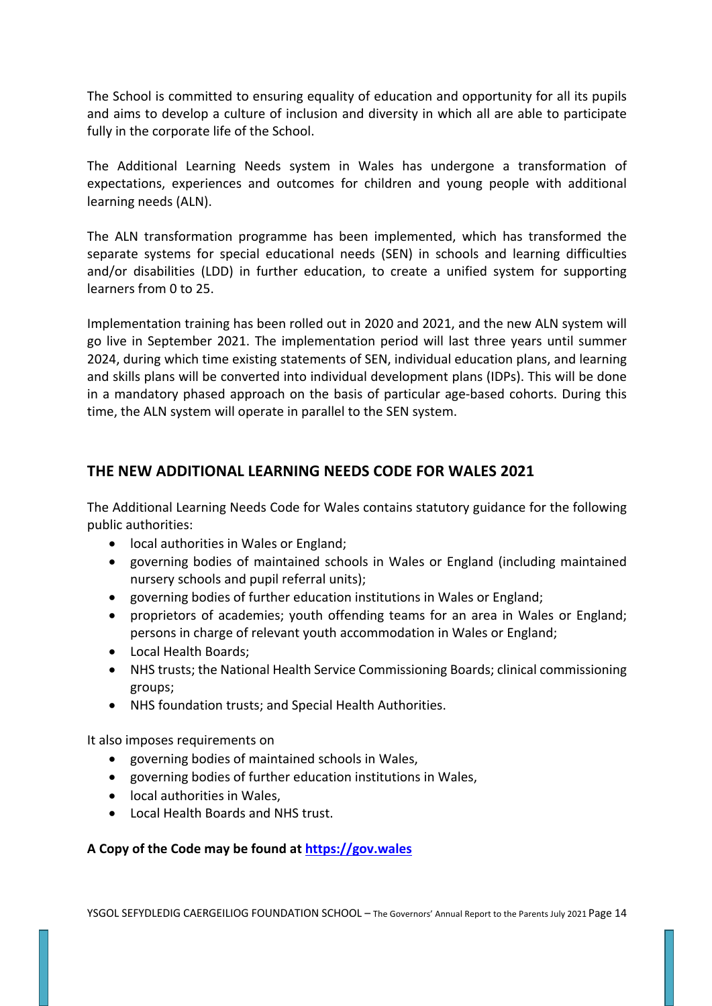The School is committed to ensuring equality of education and opportunity for all its pupils and aims to develop a culture of inclusion and diversity in which all are able to participate fully in the corporate life of the School.

The Additional Learning Needs system in Wales has undergone a transformation of expectations, experiences and outcomes for children and young people with additional learning needs (ALN).

The ALN transformation programme has been implemented, which has transformed the separate systems for special educational needs (SEN) in schools and learning difficulties and/or disabilities (LDD) in further education, to create a unified system for supporting learners from 0 to 25.

Implementation training has been rolled out in 2020 and 2021, and the new ALN system will go live in September 2021. The implementation period will last three years until summer 2024, during which time existing statements of SEN, individual education plans, and learning and skills plans will be converted into individual development plans (IDPs). This will be done in a mandatory phased approach on the basis of particular age-based cohorts. During this time, the ALN system will operate in parallel to the SEN system.

# **THE NEW ADDITIONAL LEARNING NEEDS CODE FOR WALES 2021**

The Additional Learning Needs Code for Wales contains statutory guidance for the following public authorities:

- local authorities in Wales or England;
- governing bodies of maintained schools in Wales or England (including maintained nursery schools and pupil referral units);
- governing bodies of further education institutions in Wales or England;
- proprietors of academies; youth offending teams for an area in Wales or England; persons in charge of relevant youth accommodation in Wales or England;
- Local Health Boards;
- NHS trusts; the National Health Service Commissioning Boards; clinical commissioning groups;
- NHS foundation trusts; and Special Health Authorities.

It also imposes requirements on

- governing bodies of maintained schools in Wales,
- governing bodies of further education institutions in Wales,
- local authorities in Wales,
- Local Health Boards and NHS trust.

### **A Copy of the Code may be found at https://gov.wales**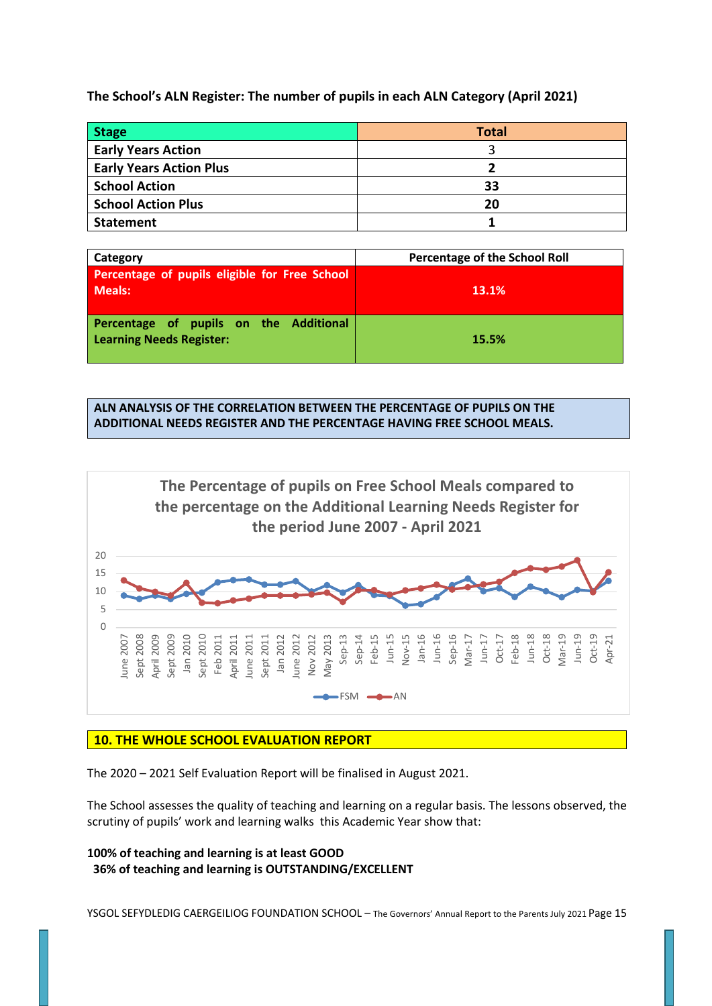**The School's ALN Register: The number of pupils in each ALN Category (April 2021)**

| <b>Stage</b>                   | <b>Total</b> |
|--------------------------------|--------------|
| <b>Early Years Action</b>      |              |
| <b>Early Years Action Plus</b> |              |
| <b>School Action</b>           | 33           |
| <b>School Action Plus</b>      | 20           |
| <b>Statement</b>               |              |

| Category                                                                  | <b>Percentage of the School Roll</b> |
|---------------------------------------------------------------------------|--------------------------------------|
| Percentage of pupils eligible for Free School<br><b>Meals:</b>            | 13.1%                                |
| Percentage of pupils on the Additional<br><b>Learning Needs Register:</b> | 15.5%                                |

**ALN ANALYSIS OF THE CORRELATION BETWEEN THE PERCENTAGE OF PUPILS ON THE ADDITIONAL NEEDS REGISTER AND THE PERCENTAGE HAVING FREE SCHOOL MEALS.**



### **10. THE WHOLE SCHOOL EVALUATION REPORT**

The 2020 – 2021 Self Evaluation Report will be finalised in August 2021.

The School assesses the quality of teaching and learning on a regular basis. The lessons observed, the scrutiny of pupils' work and learning walks this Academic Year show that:

**100% of teaching and learning is at least GOOD 36% of teaching and learning is OUTSTANDING/EXCELLENT**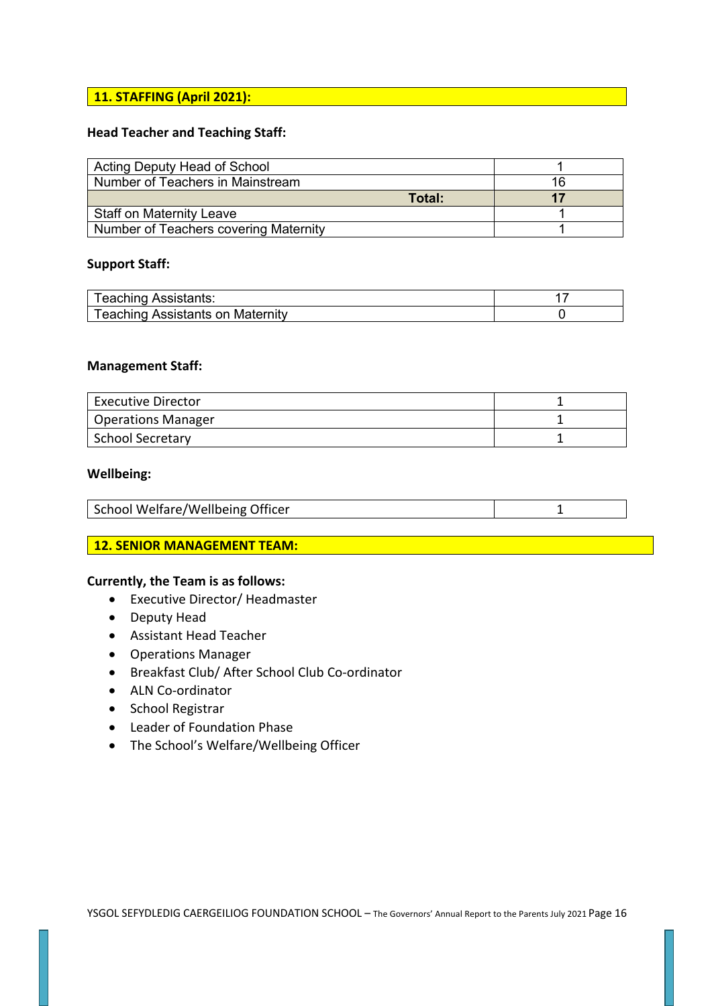# **11. STAFFING (April 2021):**

### **Head Teacher and Teaching Staff:**

| Acting Deputy Head of School          |    |
|---------------------------------------|----|
| Number of Teachers in Mainstream      | 16 |
| Total:                                |    |
| <b>Staff on Maternity Leave</b>       |    |
| Number of Teachers covering Maternity |    |

### **Support Staff:**

| <b>Teaching Assistants:</b>             |  |
|-----------------------------------------|--|
| <b>Teaching Assistants on Maternity</b> |  |

#### **Management Staff:**

| <b>Executive Director</b> |  |
|---------------------------|--|
| <b>Operations Manager</b> |  |
| <b>School Secretary</b>   |  |

#### **Wellbeing:**

|--|

#### **12. SENIOR MANAGEMENT TEAM:**

#### **Currently, the Team is as follows:**

- Executive Director/ Headmaster
- Deputy Head
- Assistant Head Teacher
- Operations Manager
- Breakfast Club/ After School Club Co-ordinator
- ALN Co-ordinator
- School Registrar
- Leader of Foundation Phase
- The School's Welfare/Wellbeing Officer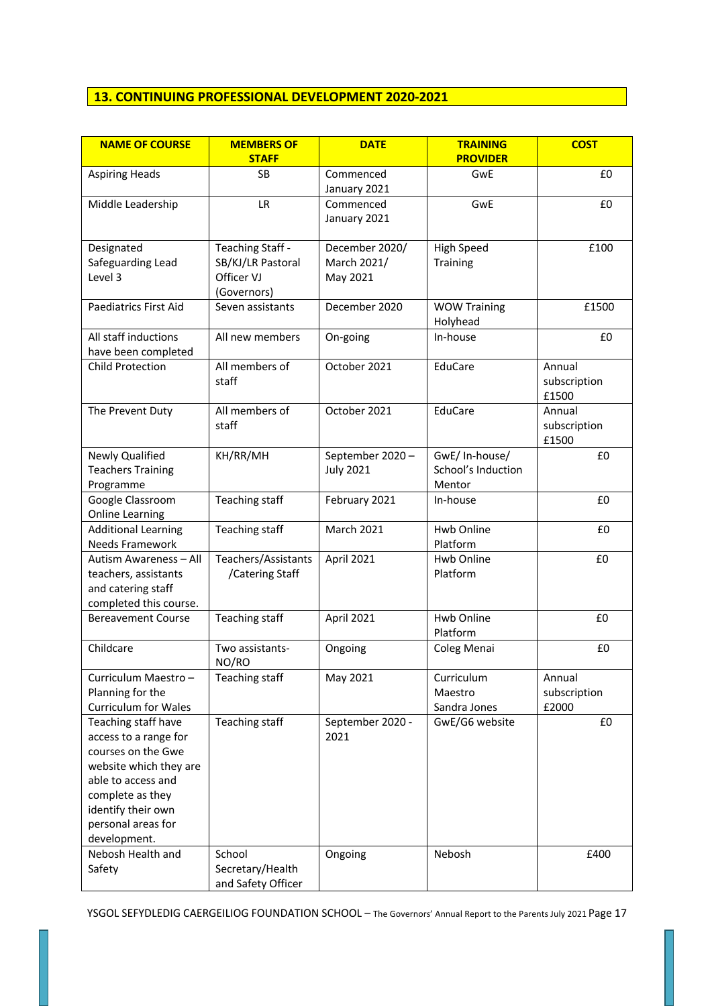# **13. CONTINUING PROFESSIONAL DEVELOPMENT 2020-2021**

| <b>NAME OF COURSE</b>                                                                                                                                                                              | <b>MEMBERS OF</b>                                                  | <b>DATE</b>                               | <b>TRAINING</b>                               | <b>COST</b>                     |
|----------------------------------------------------------------------------------------------------------------------------------------------------------------------------------------------------|--------------------------------------------------------------------|-------------------------------------------|-----------------------------------------------|---------------------------------|
|                                                                                                                                                                                                    | <b>STAFF</b>                                                       |                                           | <b>PROVIDER</b>                               |                                 |
| <b>Aspiring Heads</b>                                                                                                                                                                              | <b>SB</b>                                                          | Commenced<br>January 2021                 | GwE                                           | £0                              |
| Middle Leadership                                                                                                                                                                                  | <b>LR</b>                                                          | Commenced<br>January 2021                 | GwE                                           | £0                              |
| Designated<br>Safeguarding Lead<br>Level 3                                                                                                                                                         | Teaching Staff -<br>SB/KJ/LR Pastoral<br>Officer VJ<br>(Governors) | December 2020/<br>March 2021/<br>May 2021 | <b>High Speed</b><br><b>Training</b>          | £100                            |
| Paediatrics First Aid                                                                                                                                                                              | Seven assistants                                                   | December 2020                             | <b>WOW Training</b><br>Holyhead               | £1500                           |
| All staff inductions<br>have been completed                                                                                                                                                        | All new members                                                    | On-going                                  | In-house                                      | £0                              |
| <b>Child Protection</b>                                                                                                                                                                            | All members of<br>staff                                            | October 2021                              | EduCare                                       | Annual<br>subscription<br>£1500 |
| The Prevent Duty                                                                                                                                                                                   | All members of<br>staff                                            | October 2021                              | EduCare                                       | Annual<br>subscription<br>£1500 |
| Newly Qualified<br><b>Teachers Training</b><br>Programme                                                                                                                                           | KH/RR/MH                                                           | September 2020-<br><b>July 2021</b>       | GwE/In-house/<br>School's Induction<br>Mentor | £0                              |
| Google Classroom<br><b>Online Learning</b>                                                                                                                                                         | Teaching staff                                                     | February 2021                             | In-house                                      | £0                              |
| <b>Additional Learning</b><br><b>Needs Framework</b>                                                                                                                                               | Teaching staff                                                     | <b>March 2021</b>                         | Hwb Online<br>Platform                        | £0                              |
| Autism Awareness - All<br>teachers, assistants<br>and catering staff<br>completed this course.                                                                                                     | Teachers/Assistants<br>/Catering Staff                             | April 2021                                | Hwb Online<br>Platform                        | £0                              |
| <b>Bereavement Course</b>                                                                                                                                                                          | Teaching staff                                                     | April 2021                                | Hwb Online<br>Platform                        | £0                              |
| Childcare                                                                                                                                                                                          | Two assistants-<br>NO/RO                                           | Ongoing                                   | Coleg Menai                                   | £0                              |
| Curriculum Maestro-<br>Planning for the<br><b>Curriculum for Wales</b>                                                                                                                             | Teaching staff                                                     | May 2021                                  | Curriculum<br>Maestro<br>Sandra Jones         | Annual<br>subscription<br>£2000 |
| Teaching staff have<br>access to a range for<br>courses on the Gwe<br>website which they are<br>able to access and<br>complete as they<br>identify their own<br>personal areas for<br>development. | <b>Teaching staff</b>                                              | September 2020 -<br>2021                  | GwE/G6 website                                | £0                              |
| Nebosh Health and<br>Safety                                                                                                                                                                        | School<br>Secretary/Health<br>and Safety Officer                   | Ongoing                                   | Nebosh                                        | £400                            |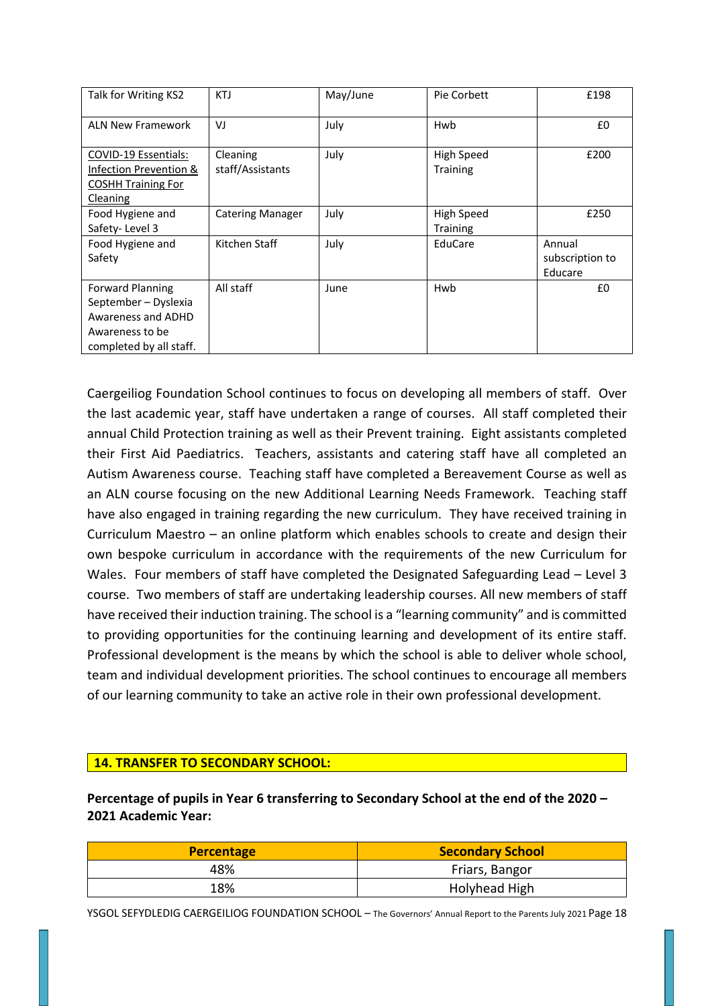| Talk for Writing KS2                                                                                                | KTJ                          | May/June | Pie Corbett                          | £198                                 |
|---------------------------------------------------------------------------------------------------------------------|------------------------------|----------|--------------------------------------|--------------------------------------|
| <b>ALN New Framework</b>                                                                                            | VJ                           | July     | Hwb                                  | £0                                   |
| COVID-19 Essentials:<br>Infection Prevention &<br><b>COSHH Training For</b><br>Cleaning                             | Cleaning<br>staff/Assistants | July     | High Speed<br><b>Training</b>        | £200                                 |
| Food Hygiene and<br>Safety-Level 3                                                                                  | <b>Catering Manager</b>      | July     | <b>High Speed</b><br><b>Training</b> | £250                                 |
| Food Hygiene and<br>Safety                                                                                          | Kitchen Staff                | July     | EduCare                              | Annual<br>subscription to<br>Educare |
| <b>Forward Planning</b><br>September - Dyslexia<br>Awareness and ADHD<br>Awareness to be<br>completed by all staff. | All staff                    | June     | Hwb                                  | £0                                   |

Caergeiliog Foundation School continues to focus on developing all members of staff. Over the last academic year, staff have undertaken a range of courses. All staff completed their annual Child Protection training as well as their Prevent training. Eight assistants completed their First Aid Paediatrics. Teachers, assistants and catering staff have all completed an Autism Awareness course. Teaching staff have completed a Bereavement Course as well as an ALN course focusing on the new Additional Learning Needs Framework. Teaching staff have also engaged in training regarding the new curriculum. They have received training in Curriculum Maestro – an online platform which enables schools to create and design their own bespoke curriculum in accordance with the requirements of the new Curriculum for Wales. Four members of staff have completed the Designated Safeguarding Lead – Level 3 course. Two members of staff are undertaking leadership courses. All new members of staff have received their induction training. The school is a "learning community" and is committed to providing opportunities for the continuing learning and development of its entire staff. Professional development is the means by which the school is able to deliver whole school, team and individual development priorities. The school continues to encourage all members of our learning community to take an active role in their own professional development.

### **14. TRANSFER TO SECONDARY SCHOOL:**

**Percentage of pupils in Year 6 transferring to Secondary School at the end of the 2020 – 2021 Academic Year:**

| <b>Percentage</b> | <b>Secondary School</b> |
|-------------------|-------------------------|
| 48%               | Friars, Bangor          |
| 18%               | Holyhead High           |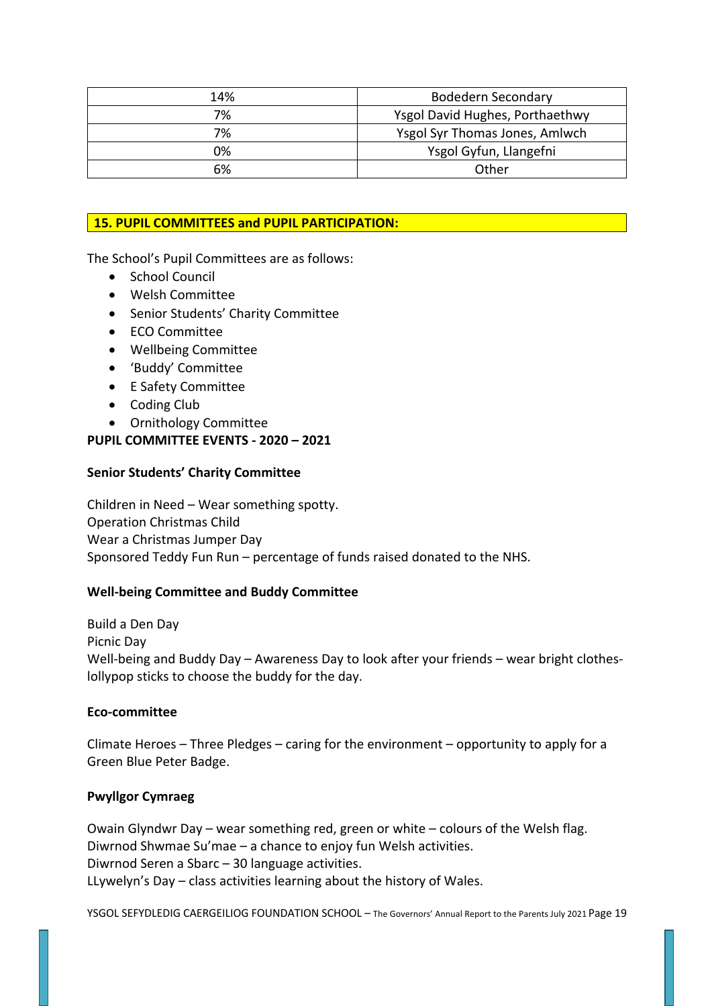| 14% | <b>Bodedern Secondary</b>       |
|-----|---------------------------------|
| 7%  | Ysgol David Hughes, Porthaethwy |
| 7%  | Ysgol Syr Thomas Jones, Amlwch  |
| 0%  | Ysgol Gyfun, Llangefni          |
| 6%  | Other                           |

### **15. PUPIL COMMITTEES and PUPIL PARTICIPATION:**

The School's Pupil Committees are as follows:

- School Council
- Welsh Committee
- Senior Students' Charity Committee
- ECO Committee
- Wellbeing Committee
- 'Buddy' Committee
- E Safety Committee
- Coding Club
- Ornithology Committee

### **PUPIL COMMITTEE EVENTS - 2020 – 2021**

### **Senior Students' Charity Committee**

Children in Need – Wear something spotty. Operation Christmas Child Wear a Christmas Jumper Day Sponsored Teddy Fun Run – percentage of funds raised donated to the NHS.

### **Well-being Committee and Buddy Committee**

Build a Den Day Picnic Day Well-being and Buddy Day – Awareness Day to look after your friends – wear bright clotheslollypop sticks to choose the buddy for the day.

### **Eco-committee**

Climate Heroes – Three Pledges – caring for the environment – opportunity to apply for a Green Blue Peter Badge.

### **Pwyllgor Cymraeg**

Owain Glyndwr Day – wear something red, green or white – colours of the Welsh flag. Diwrnod Shwmae Su'mae – a chance to enjoy fun Welsh activities. Diwrnod Seren a Sbarc – 30 language activities. LLywelyn's Day – class activities learning about the history of Wales.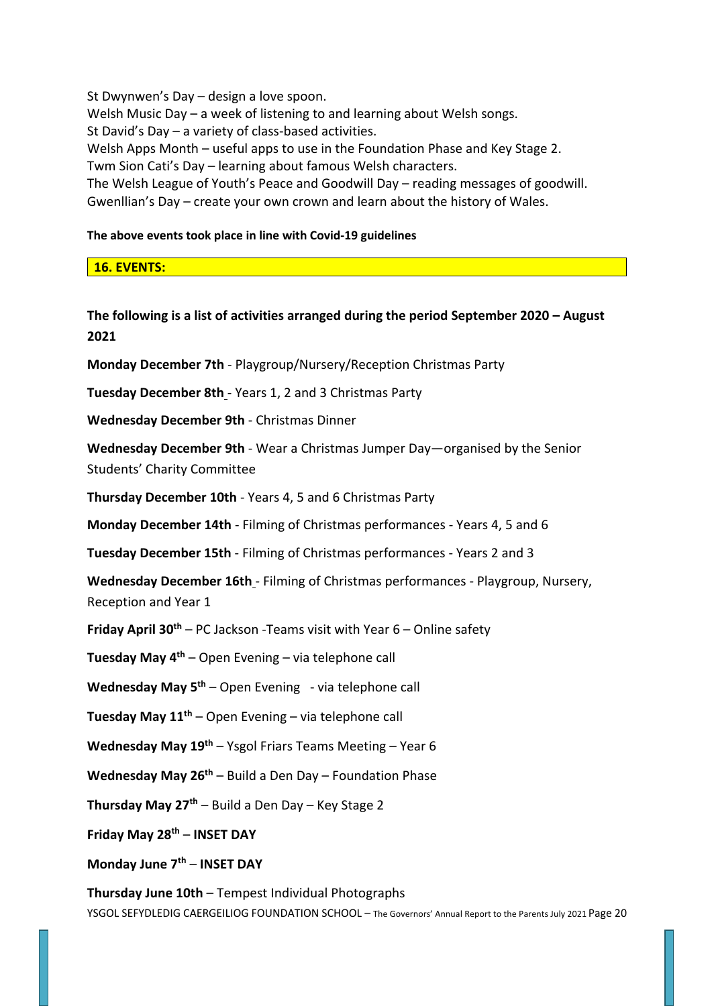St Dwynwen's Day – design a love spoon. Welsh Music Day – a week of listening to and learning about Welsh songs. St David's Day – a variety of class-based activities. Welsh Apps Month – useful apps to use in the Foundation Phase and Key Stage 2. Twm Sion Cati's Day – learning about famous Welsh characters. The Welsh League of Youth's Peace and Goodwill Day – reading messages of goodwill. Gwenllian's Day – create your own crown and learn about the history of Wales.

### **The above events took place in line with Covid-19 guidelines**

**16. EVENTS:**

# **The following is a list of activities arranged during the period September 2020 – August 2021**

**Monday December 7th** - Playgroup/Nursery/Reception Christmas Party

**Tuesday December 8th** - Years 1, 2 and 3 Christmas Party

**Wednesday December 9th** - Christmas Dinner

**Wednesday December 9th** - Wear a Christmas Jumper Day—organised by the Senior Students' Charity Committee

**Thursday December 10th** - Years 4, 5 and 6 Christmas Party

**Monday December 14th** - Filming of Christmas performances - Years 4, 5 and 6

**Tuesday December 15th** - Filming of Christmas performances - Years 2 and 3

**Wednesday December 16th** - Filming of Christmas performances - Playgroup, Nursery, Reception and Year 1

**Friday April 30th** – PC Jackson -Teams visit with Year 6 – Online safety

**Tuesday May 4th** – Open Evening – via telephone call

**Wednesday May 5th** – Open Evening - via telephone call

**Tuesday May 11th** – Open Evening – via telephone call

**Wednesday May 19th** – Ysgol Friars Teams Meeting – Year 6

**Wednesday May 26th** – Build a Den Day – Foundation Phase

**Thursday May 27th** – Build a Den Day – Key Stage 2

**Friday May 28th** – **INSET DAY**

**Monday June 7th** – **INSET DAY**

YSGOL SEFYDLEDIG CAERGEILIOG FOUNDATION SCHOOL – The Governors' Annual Report to the Parents July 2021 Page 20 **Thursday June 10th** – Tempest Individual Photographs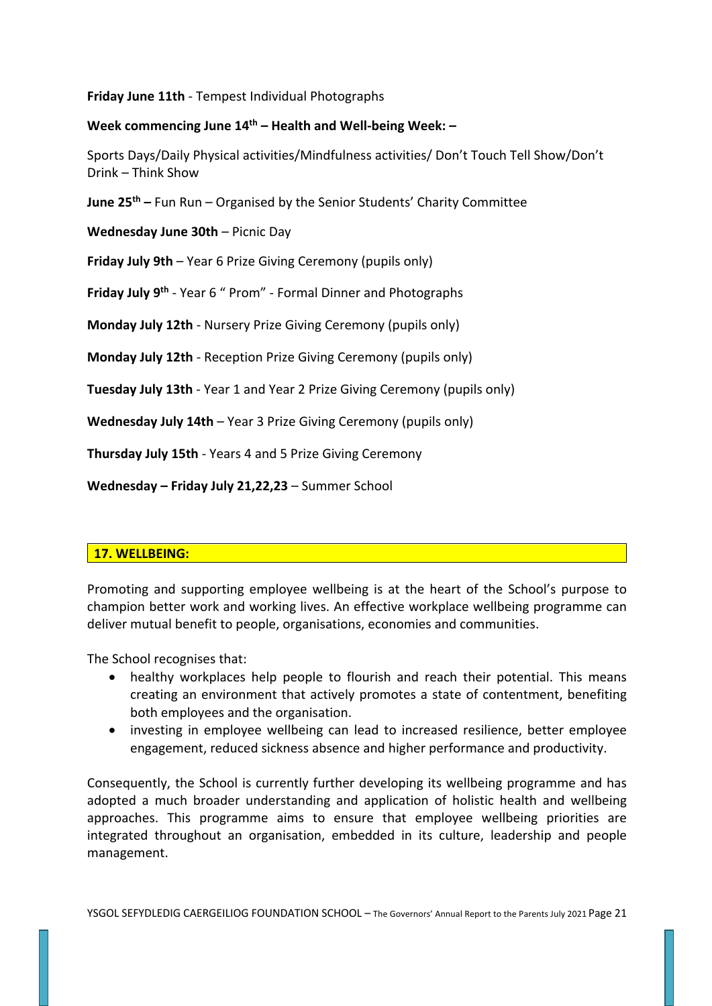**Friday June 11th** - Tempest Individual Photographs

### **Week commencing June 14th – Health and Well-being Week: –**

Sports Days/Daily Physical activities/Mindfulness activities/ Don't Touch Tell Show/Don't Drink – Think Show

**June 25th –** Fun Run – Organised by the Senior Students' Charity Committee

**Wednesday June 30th** – Picnic Day

**Friday July 9th** – Year 6 Prize Giving Ceremony (pupils only)

**Friday July 9th** - Year 6 " Prom" - Formal Dinner and Photographs

**Monday July 12th** - Nursery Prize Giving Ceremony (pupils only)

**Monday July 12th** - Reception Prize Giving Ceremony (pupils only)

**Tuesday July 13th** - Year 1 and Year 2 Prize Giving Ceremony (pupils only)

**Wednesday July 14th** – Year 3 Prize Giving Ceremony (pupils only)

**Thursday July 15th** - Years 4 and 5 Prize Giving Ceremony

**Wednesday – Friday July 21,22,23** – Summer School

### **17. WELLBEING:**

Promoting and supporting employee wellbeing is at the heart of the School's purpose to champion better work and working lives. An effective workplace wellbeing programme can deliver mutual benefit to people, organisations, economies and communities.

The School recognises that:

- healthy workplaces help people to flourish and reach their potential. This means creating an environment that actively promotes a state of contentment, benefiting both employees and the organisation.
- investing in employee wellbeing can lead to increased resilience, better employee engagement, reduced sickness absence and higher performance and productivity.

Consequently, the School is currently further developing its wellbeing programme and has adopted a much broader understanding and application of holistic health and wellbeing approaches. This programme aims to ensure that employee wellbeing priorities are integrated throughout an organisation, embedded in its culture, leadership and people management.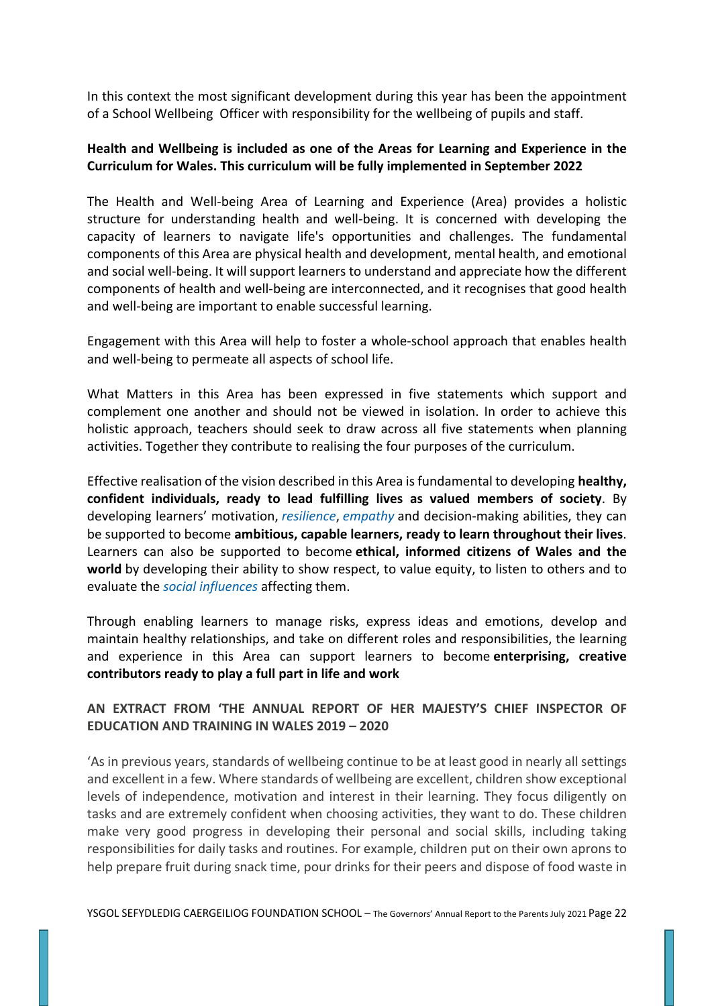In this context the most significant development during this year has been the appointment of a School Wellbeing Officer with responsibility for the wellbeing of pupils and staff.

# **Health and Wellbeing is included as one of the Areas for Learning and Experience in the Curriculum for Wales. This curriculum will be fully implemented in September 2022**

The Health and Well-being Area of Learning and Experience (Area) provides a holistic structure for understanding health and well-being. It is concerned with developing the capacity of learners to navigate life's opportunities and challenges. The fundamental components of this Area are physical health and development, mental health, and emotional and social well-being. It will support learners to understand and appreciate how the different components of health and well-being are interconnected, and it recognises that good health and well-being are important to enable successful learning.

Engagement with this Area will help to foster a whole-school approach that enables health and well-being to permeate all aspects of school life.

What Matters in this Area has been expressed in five statements which support and complement one another and should not be viewed in isolation. In order to achieve this holistic approach, teachers should seek to draw across all five statements when planning activities. Together they contribute to realising the four purposes of the curriculum.

Effective realisation of the vision described in this Area is fundamental to developing **healthy, confident individuals, ready to lead fulfilling lives as valued members of society**. By developing learners' motivation, *resilience*, *empathy* and decision-making abilities, they can be supported to become **ambitious, capable learners, ready to learn throughout their lives**. Learners can also be supported to become **ethical, informed citizens of Wales and the world** by developing their ability to show respect, to value equity, to listen to others and to evaluate the *social influences* affecting them.

Through enabling learners to manage risks, express ideas and emotions, develop and maintain healthy relationships, and take on different roles and responsibilities, the learning and experience in this Area can support learners to become **enterprising, creative contributors ready to play a full part in life and work**

# **AN EXTRACT FROM 'THE ANNUAL REPORT OF HER MAJESTY'S CHIEF INSPECTOR OF EDUCATION AND TRAINING IN WALES 2019 – 2020**

'As in previous years, standards of wellbeing continue to be at least good in nearly all settings and excellent in a few. Where standards of wellbeing are excellent, children show exceptional levels of independence, motivation and interest in their learning. They focus diligently on tasks and are extremely confident when choosing activities, they want to do. These children make very good progress in developing their personal and social skills, including taking responsibilities for daily tasks and routines. For example, children put on their own aprons to help prepare fruit during snack time, pour drinks for their peers and dispose of food waste in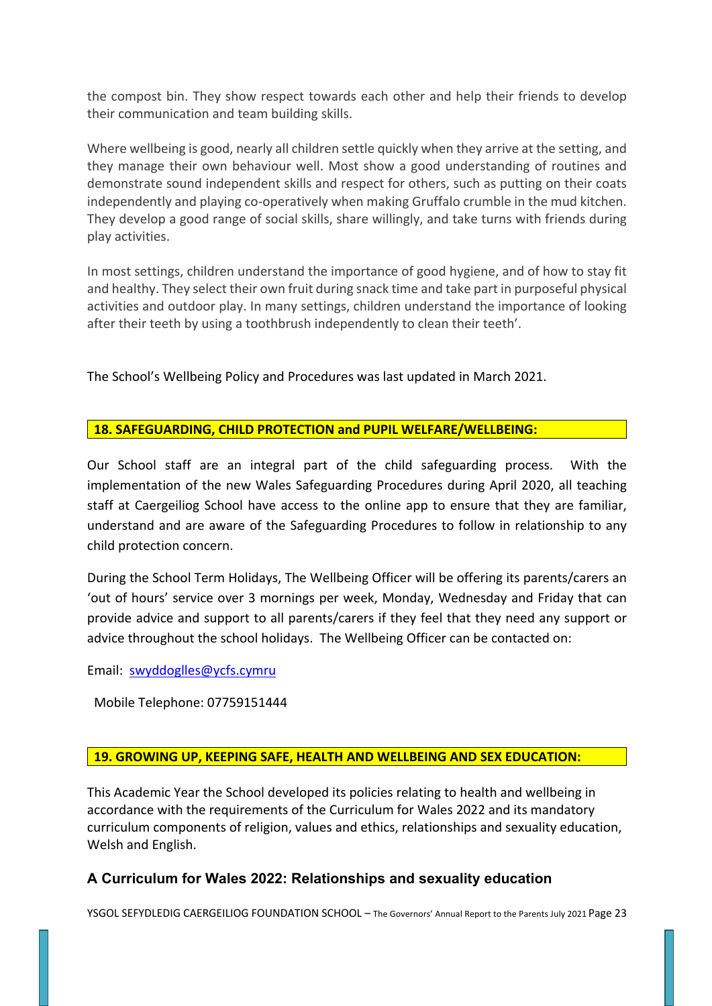the compost bin. They show respect towards each other and help their friends to develop their communication and team building skills.

Where wellbeing is good, nearly all children settle quickly when they arrive at the setting, and they manage their own behaviour well. Most show a good understanding of routines and demonstrate sound independent skills and respect for others, such as putting on their coats independently and playing co-operatively when making Gruffalo crumble in the mud kitchen. They develop a good range of social skills, share willingly, and take turns with friends during play activities.

In most settings, children understand the importance of good hygiene, and of how to stay fit and healthy. They select their own fruit during snack time and take part in purposeful physical activities and outdoor play. In many settings, children understand the importance of looking after their teeth by using a toothbrush independently to clean their teeth'.

The School's Wellbeing Policy and Procedures was last updated in March 2021.

## **18. SAFEGUARDING, CHILD PROTECTION and PUPIL WELFARE/WELLBEING:**

Our School staff are an integral part of the child safeguarding process. With the implementation of the new Wales Safeguarding Procedures during April 2020, all teaching staff at Caergeiliog School have access to the online app to ensure that they are familiar, understand and are aware of the Safeguarding Procedures to follow in relationship to any child protection concern.

During the School Term Holidays, The Wellbeing Officer will be offering its parents/carers an 'out of hours' service over 3 mornings per week, Monday, Wednesday and Friday that can provide advice and support to all parents/carers if they feel that they need any support or advice throughout the school holidays. The Wellbeing Officer can be contacted on:

Email: swyddoglles@ycfs.cymru

Mobile Telephone: 07759151444

### **19. GROWING UP, KEEPING SAFE, HEALTH AND WELLBEING AND SEX EDUCATION:**

This Academic Year the School developed its policies relating to health and wellbeing in accordance with the requirements of the Curriculum for Wales 2022 and its mandatory curriculum components of religion, values and ethics, relationships and sexuality education, Welsh and English.

# **A Curriculum for Wales 2022: Relationships and sexuality education**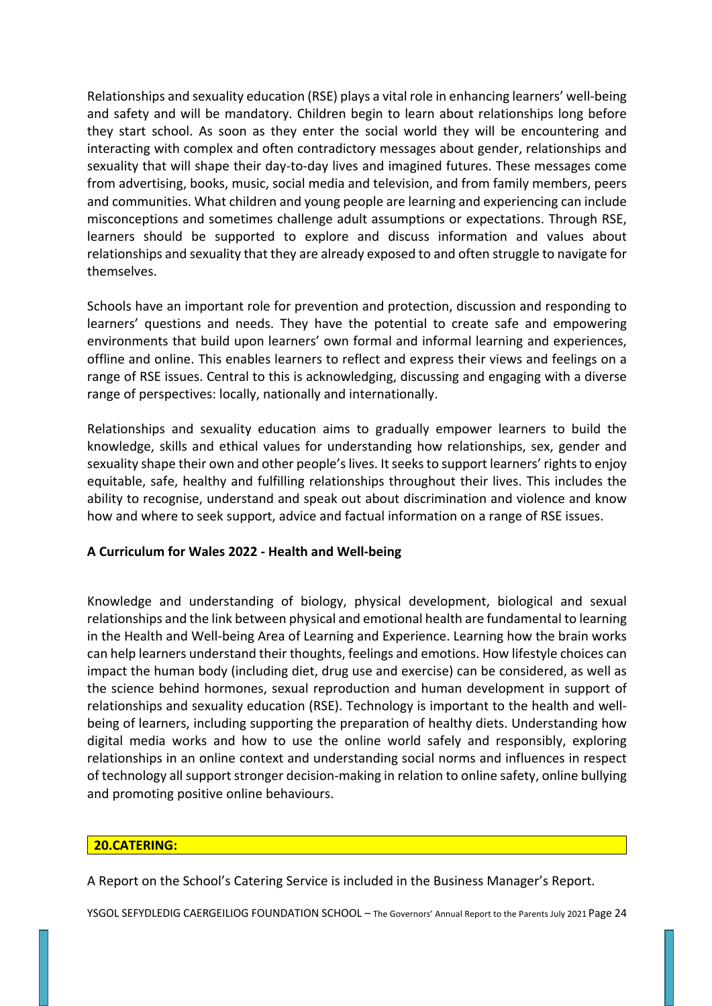Relationships and sexuality education (RSE) plays a vital role in enhancing learners' well-being and safety and will be mandatory. Children begin to learn about relationships long before they start school. As soon as they enter the social world they will be encountering and interacting with complex and often contradictory messages about gender, relationships and sexuality that will shape their day-to-day lives and imagined futures. These messages come from advertising, books, music, social media and television, and from family members, peers and communities. What children and young people are learning and experiencing can include misconceptions and sometimes challenge adult assumptions or expectations. Through RSE, learners should be supported to explore and discuss information and values about relationships and sexuality that they are already exposed to and often struggle to navigate for themselves.

Schools have an important role for prevention and protection, discussion and responding to learners' questions and needs. They have the potential to create safe and empowering environments that build upon learners' own formal and informal learning and experiences, offline and online. This enables learners to reflect and express their views and feelings on a range of RSE issues. Central to this is acknowledging, discussing and engaging with a diverse range of perspectives: locally, nationally and internationally.

Relationships and sexuality education aims to gradually empower learners to build the knowledge, skills and ethical values for understanding how relationships, sex, gender and sexuality shape their own and other people's lives. It seeks to support learners' rights to enjoy equitable, safe, healthy and fulfilling relationships throughout their lives. This includes the ability to recognise, understand and speak out about discrimination and violence and know how and where to seek support, advice and factual information on a range of RSE issues.

# **A Curriculum for Wales 2022 - Health and Well-being**

Knowledge and understanding of biology, physical development, biological and sexual relationships and the link between physical and emotional health are fundamental to learning in the Health and Well-being Area of Learning and Experience. Learning how the brain works can help learners understand their thoughts, feelings and emotions. How lifestyle choices can impact the human body (including diet, drug use and exercise) can be considered, as well as the science behind hormones, sexual reproduction and human development in support of relationships and sexuality education (RSE). Technology is important to the health and wellbeing of learners, including supporting the preparation of healthy diets. Understanding how digital media works and how to use the online world safely and responsibly, exploring relationships in an online context and understanding social norms and influences in respect of technology all support stronger decision-making in relation to online safety, online bullying and promoting positive online behaviours.

### **20.CATERING:**

A Report on the School's Catering Service is included in the Business Manager's Report.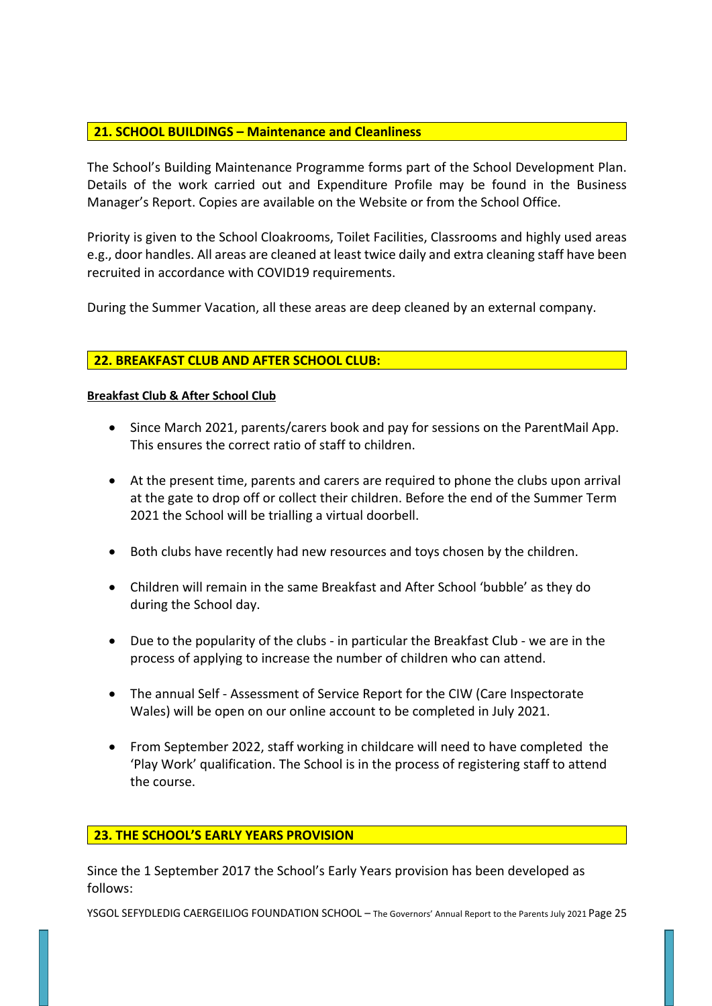# **21. SCHOOL BUILDINGS – Maintenance and Cleanliness**

The School's Building Maintenance Programme forms part of the School Development Plan. Details of the work carried out and Expenditure Profile may be found in the Business Manager's Report. Copies are available on the Website or from the School Office.

Priority is given to the School Cloakrooms, Toilet Facilities, Classrooms and highly used areas e.g., door handles. All areas are cleaned at least twice daily and extra cleaning staff have been recruited in accordance with COVID19 requirements.

During the Summer Vacation, all these areas are deep cleaned by an external company.

## **22. BREAKFAST CLUB AND AFTER SCHOOL CLUB:**

### **Breakfast Club & After School Club**

- Since March 2021, parents/carers book and pay for sessions on the ParentMail App. This ensures the correct ratio of staff to children.
- At the present time, parents and carers are required to phone the clubs upon arrival at the gate to drop off or collect their children. Before the end of the Summer Term 2021 the School will be trialling a virtual doorbell.
- Both clubs have recently had new resources and toys chosen by the children.
- Children will remain in the same Breakfast and After School 'bubble' as they do during the School day.
- Due to the popularity of the clubs in particular the Breakfast Club we are in the process of applying to increase the number of children who can attend.
- The annual Self Assessment of Service Report for the CIW (Care Inspectorate Wales) will be open on our online account to be completed in July 2021.
- From September 2022, staff working in childcare will need to have completed the 'Play Work' qualification. The School is in the process of registering staff to attend the course.

### **23. THE SCHOOL'S EARLY YEARS PROVISION**

Since the 1 September 2017 the School's Early Years provision has been developed as follows: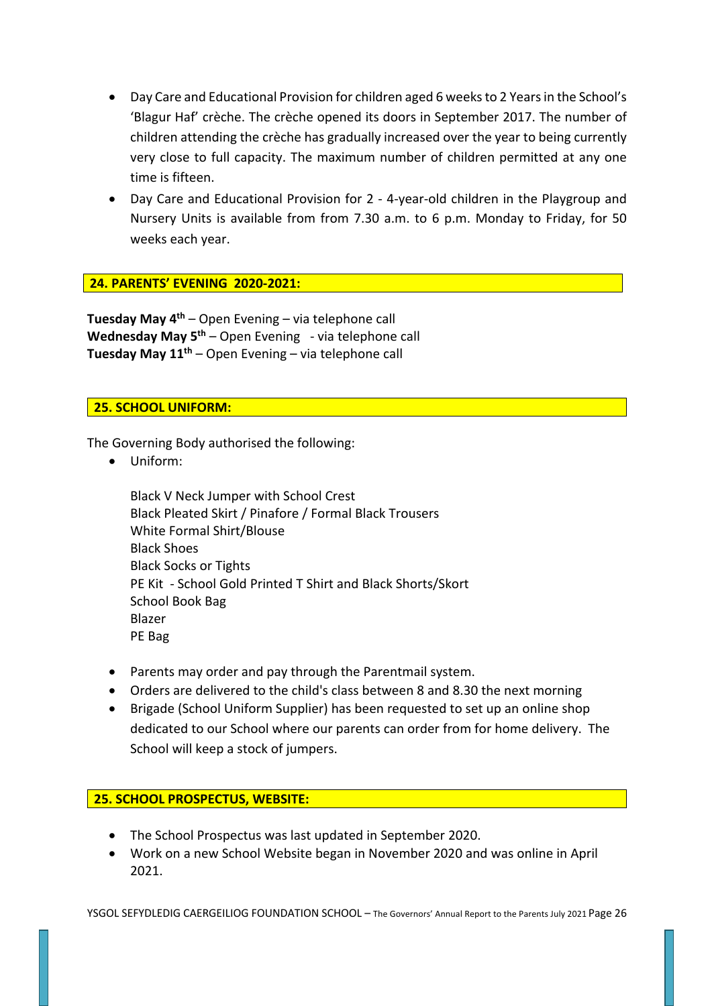- Day Care and Educational Provision for children aged 6 weeks to 2 Years in the School's 'Blagur Haf' crèche. The crèche opened its doors in September 2017. The number of children attending the crèche has gradually increased over the year to being currently very close to full capacity. The maximum number of children permitted at any one time is fifteen.
- Day Care and Educational Provision for 2 4-year-old children in the Playgroup and Nursery Units is available from from 7.30 a.m. to 6 p.m. Monday to Friday, for 50 weeks each year.

## **24. PARENTS' EVENING 2020-2021:**

**Tuesday May 4th** – Open Evening – via telephone call **Wednesday May 5th** – Open Evening - via telephone call **Tuesday May 11th** – Open Evening – via telephone call

## **25. SCHOOL UNIFORM:**

The Governing Body authorised the following:

• Uniform:

Black V Neck Jumper with School Crest Black Pleated Skirt / Pinafore / Formal Black Trousers White Formal Shirt/Blouse Black Shoes Black Socks or Tights PE Kit - School Gold Printed T Shirt and Black Shorts/Skort School Book Bag Blazer PE Bag

- Parents may order and pay through the Parentmail system.
- Orders are delivered to the child's class between 8 and 8.30 the next morning
- Brigade (School Uniform Supplier) has been requested to set up an online shop dedicated to our School where our parents can order from for home delivery. The School will keep a stock of jumpers.

### **25. SCHOOL PROSPECTUS, WEBSITE:**

- The School Prospectus was last updated in September 2020.
- Work on a new School Website began in November 2020 and was online in April 2021.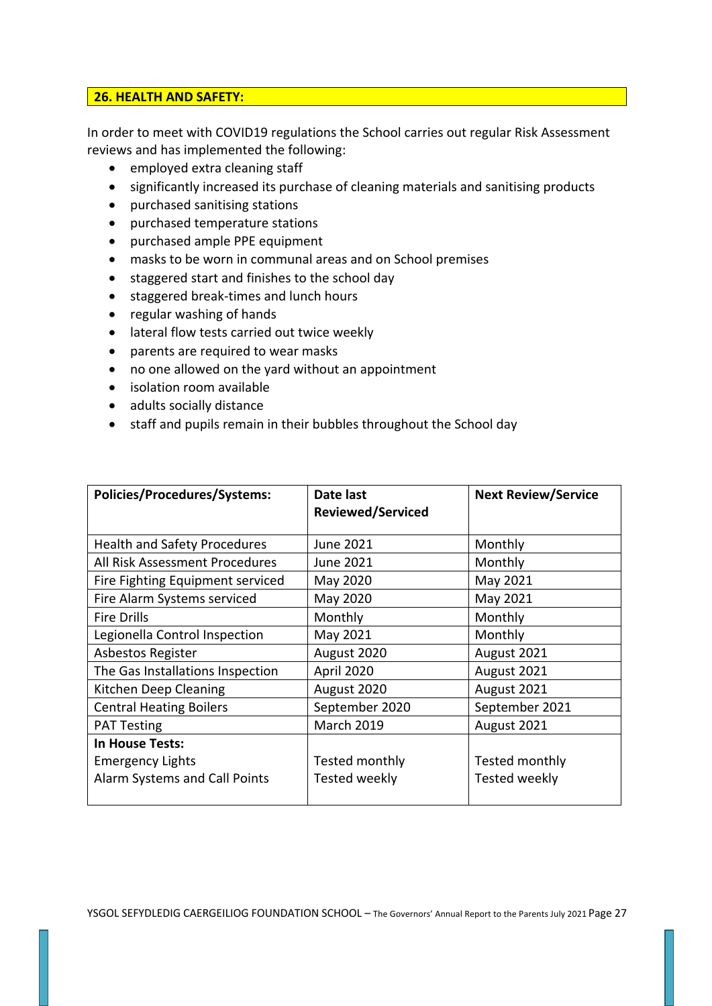### **26. HEALTH AND SAFETY:**

In order to meet with COVID19 regulations the School carries out regular Risk Assessment reviews and has implemented the following:

- employed extra cleaning staff
- significantly increased its purchase of cleaning materials and sanitising products
- purchased sanitising stations
- purchased temperature stations
- purchased ample PPE equipment
- masks to be worn in communal areas and on School premises
- staggered start and finishes to the school day
- staggered break-times and lunch hours
- regular washing of hands
- lateral flow tests carried out twice weekly
- parents are required to wear masks
- no one allowed on the yard without an appointment
- isolation room available
- adults socially distance
- staff and pupils remain in their bubbles throughout the School day

| <b>Policies/Procedures/Systems:</b> | Date last<br><b>Reviewed/Serviced</b> | <b>Next Review/Service</b> |
|-------------------------------------|---------------------------------------|----------------------------|
| <b>Health and Safety Procedures</b> | June 2021                             | Monthly                    |
| All Risk Assessment Procedures      | June 2021                             | Monthly                    |
| Fire Fighting Equipment serviced    | May 2020                              | May 2021                   |
| Fire Alarm Systems serviced         | May 2020                              | May 2021                   |
| <b>Fire Drills</b>                  | Monthly                               | Monthly                    |
| Legionella Control Inspection       | May 2021                              | Monthly                    |
| Asbestos Register                   | August 2020                           | August 2021                |
| The Gas Installations Inspection    | April 2020                            | August 2021                |
| Kitchen Deep Cleaning               | August 2020                           | August 2021                |
| <b>Central Heating Boilers</b>      | September 2020                        | September 2021             |
| <b>PAT Testing</b>                  | <b>March 2019</b>                     | August 2021                |
| In House Tests:                     |                                       |                            |
| <b>Emergency Lights</b>             | Tested monthly                        | Tested monthly             |
| Alarm Systems and Call Points       | Tested weekly                         | Tested weekly              |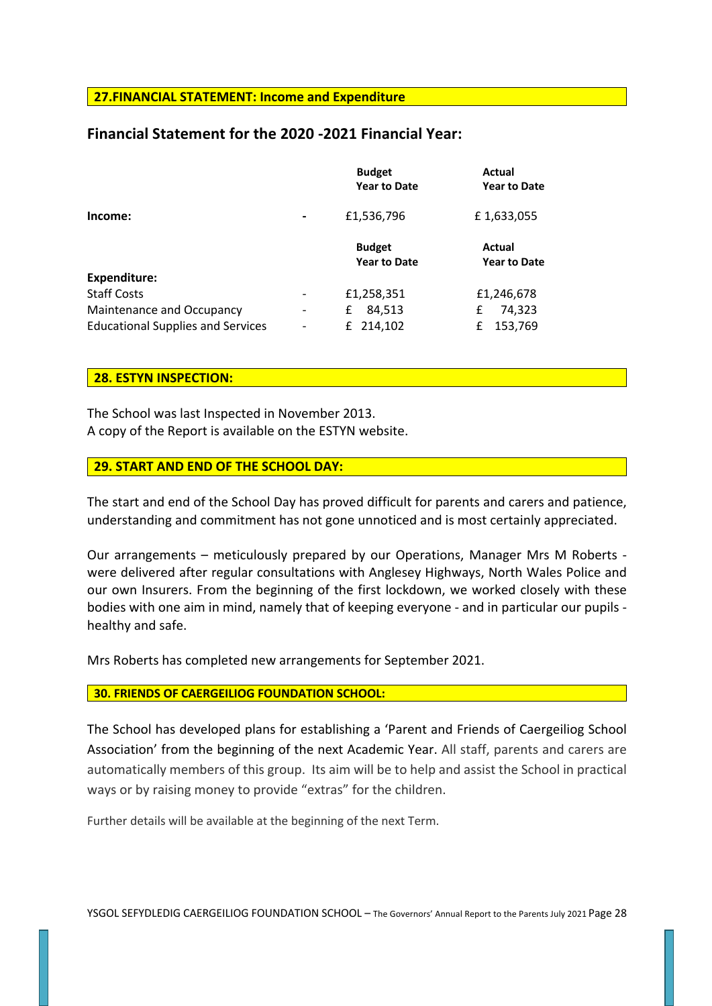#### **27.FINANCIAL STATEMENT: Income and Expenditure**

## **Financial Statement for the 2020 -2021 Financial Year:**

|                                          |                          | <b>Budget</b><br><b>Year to Date</b> | Actual<br><b>Year to Date</b> |
|------------------------------------------|--------------------------|--------------------------------------|-------------------------------|
| Income:                                  | $\overline{\phantom{0}}$ | £1,536,796                           | £1,633,055                    |
|                                          |                          | <b>Budget</b><br><b>Year to Date</b> | Actual<br><b>Year to Date</b> |
| <b>Expenditure:</b>                      |                          |                                      |                               |
| <b>Staff Costs</b>                       |                          | £1,258,351                           | £1,246,678                    |
| Maintenance and Occupancy                | $\overline{\phantom{a}}$ | 84,513<br>£                          | 74,323<br>£                   |
| <b>Educational Supplies and Services</b> |                          | 214,102<br>£                         | 153,769<br>£                  |

#### **28. ESTYN INSPECTION:**

The School was last Inspected in November 2013. A copy of the Report is available on the ESTYN website.

### **29. START AND END OF THE SCHOOL DAY:**

The start and end of the School Day has proved difficult for parents and carers and patience, understanding and commitment has not gone unnoticed and is most certainly appreciated.

Our arrangements – meticulously prepared by our Operations, Manager Mrs M Roberts were delivered after regular consultations with Anglesey Highways, North Wales Police and our own Insurers. From the beginning of the first lockdown, we worked closely with these bodies with one aim in mind, namely that of keeping everyone - and in particular our pupils healthy and safe.

Mrs Roberts has completed new arrangements for September 2021.

#### **30. FRIENDS OF CAERGEILIOG FOUNDATION SCHOOL:**

The School has developed plans for establishing a 'Parent and Friends of Caergeiliog School Association' from the beginning of the next Academic Year. All staff, parents and carers are automatically members of this group. Its aim will be to help and assist the School in practical ways or by raising money to provide "extras" for the children.

Further details will be available at the beginning of the next Term.